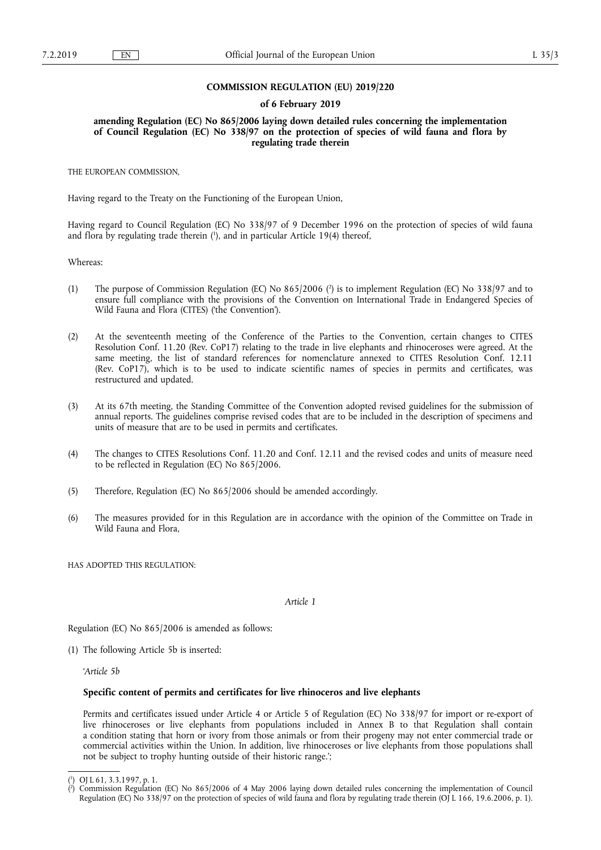#### **COMMISSION REGULATION (EU) 2019/220**

#### **of 6 February 2019**

**amending Regulation (EC) No 865/2006 laying down detailed rules concerning the implementation of Council Regulation (EC) No 338/97 on the protection of species of wild fauna and flora by regulating trade therein** 

THE EUROPEAN COMMISSION,

Having regard to the Treaty on the Functioning of the European Union,

Having regard to Council Regulation (EC) No 338/97 of 9 December 1996 on the protection of species of wild fauna and flora by regulating trade therein ( 1 ), and in particular Article 19(4) thereof,

Whereas:

- (1) The purpose of Commission Regulation (EC) No 865/2006 ( 2 ) is to implement Regulation (EC) No 338/97 and to ensure full compliance with the provisions of the Convention on International Trade in Endangered Species of Wild Fauna and Flora (CITES) ('the Convention').
- (2) At the seventeenth meeting of the Conference of the Parties to the Convention, certain changes to CITES Resolution Conf. 11.20 (Rev. CoP17) relating to the trade in live elephants and rhinoceroses were agreed. At the same meeting, the list of standard references for nomenclature annexed to CITES Resolution Conf. 12.11 (Rev. CoP17), which is to be used to indicate scientific names of species in permits and certificates, was restructured and updated.
- (3) At its 67th meeting, the Standing Committee of the Convention adopted revised guidelines for the submission of annual reports. The guidelines comprise revised codes that are to be included in the description of specimens and units of measure that are to be used in permits and certificates.
- (4) The changes to CITES Resolutions Conf. 11.20 and Conf. 12.11 and the revised codes and units of measure need to be reflected in Regulation (EC) No 865/2006.
- (5) Therefore, Regulation (EC) No 865/2006 should be amended accordingly.
- (6) The measures provided for in this Regulation are in accordance with the opinion of the Committee on Trade in Wild Fauna and Flora,

HAS ADOPTED THIS REGULATION:

#### *Article 1*

Regulation (EC) No 865/2006 is amended as follows:

(1) The following Article 5b is inserted:

'*Article 5b* 

#### **Specific content of permits and certificates for live rhinoceros and live elephants**

Permits and certificates issued under Article 4 or Article 5 of Regulation (EC) No 338/97 for import or re-export of live rhinoceroses or live elephants from populations included in Annex B to that Regulation shall contain a condition stating that horn or ivory from those animals or from their progeny may not enter commercial trade or commercial activities within the Union. In addition, live rhinoceroses or live elephants from those populations shall not be subject to trophy hunting outside of their historic range.';

<sup>(</sup> 1 ) OJ L 61, 3.3.1997, p. 1.

<sup>(</sup> 2 ) Commission Regulation (EC) No 865/2006 of 4 May 2006 laying down detailed rules concerning the implementation of Council Regulation (EC) No 338/97 on the protection of species of wild fauna and flora by regulating trade therein (OJ L 166, 19.6.2006, p. 1).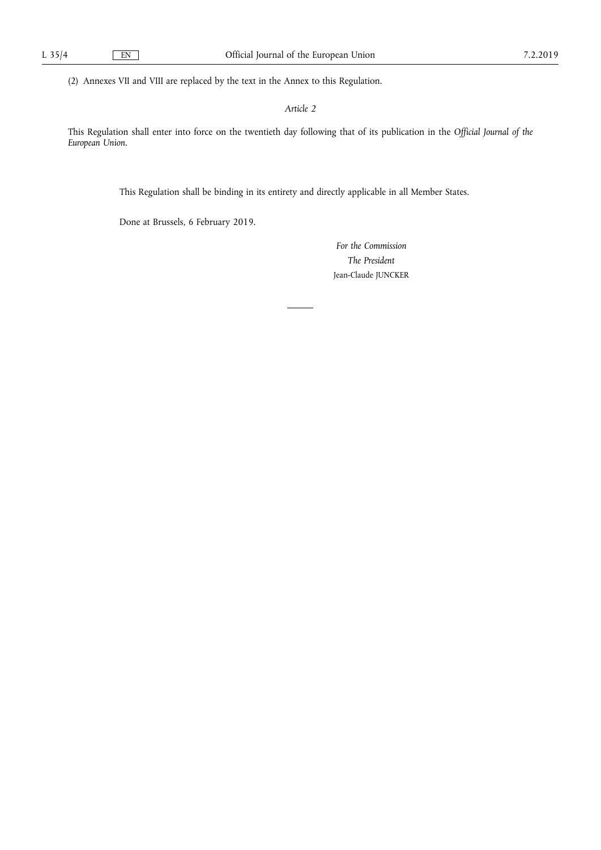(2) Annexes VII and VIII are replaced by the text in the Annex to this Regulation.

*Article 2* 

This Regulation shall enter into force on the twentieth day following that of its publication in the *Official Journal of the European Union*.

This Regulation shall be binding in its entirety and directly applicable in all Member States.

Done at Brussels, 6 February 2019.

*For the Commission The President*  Jean-Claude JUNCKER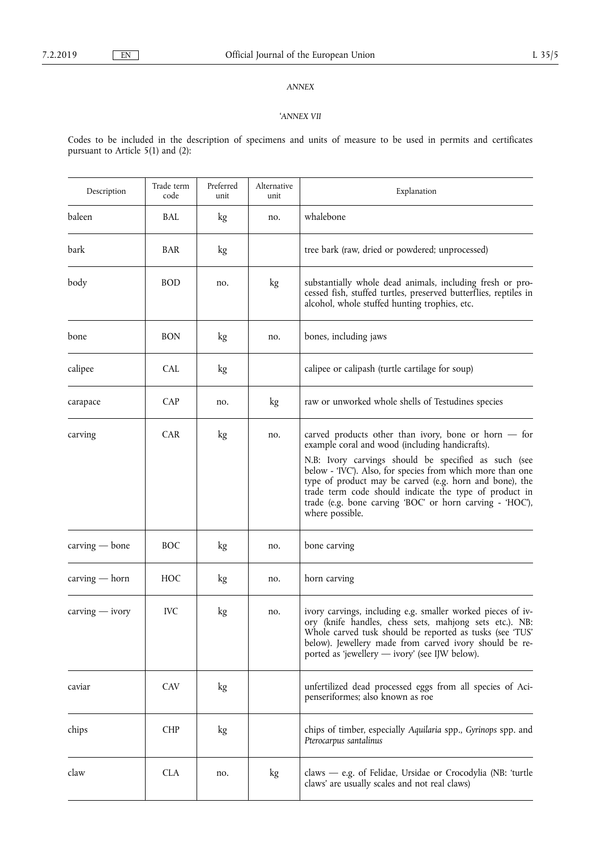## *ANNEX*

### '*ANNEX VII*

Codes to be included in the description of specimens and units of measure to be used in permits and certificates pursuant to Article 5(1) and (2):

| Description       | Trade term<br>code | Preferred<br>unit | Alternative<br>unit | Explanation                                                                                                                                                                                                                                                                                                                                                                                                                         |
|-------------------|--------------------|-------------------|---------------------|-------------------------------------------------------------------------------------------------------------------------------------------------------------------------------------------------------------------------------------------------------------------------------------------------------------------------------------------------------------------------------------------------------------------------------------|
| baleen            | BAL                | kg                | no.                 | whalebone                                                                                                                                                                                                                                                                                                                                                                                                                           |
| bark              | <b>BAR</b>         | kg                |                     | tree bark (raw, dried or powdered; unprocessed)                                                                                                                                                                                                                                                                                                                                                                                     |
| body              | <b>BOD</b>         | no.               | kg                  | substantially whole dead animals, including fresh or pro-<br>cessed fish, stuffed turtles, preserved butterflies, reptiles in<br>alcohol, whole stuffed hunting trophies, etc.                                                                                                                                                                                                                                                      |
| bone              | <b>BON</b>         | kg                | no.                 | bones, including jaws                                                                                                                                                                                                                                                                                                                                                                                                               |
| calipee           | <b>CAL</b>         | kg                |                     | calipee or calipash (turtle cartilage for soup)                                                                                                                                                                                                                                                                                                                                                                                     |
| carapace          | <b>CAP</b>         | no.               | kg                  | raw or unworked whole shells of Testudines species                                                                                                                                                                                                                                                                                                                                                                                  |
| carving           | <b>CAR</b>         | kg                | no.                 | carved products other than ivory, bone or horn $-$ for<br>example coral and wood (including handicrafts).<br>N.B: Ivory carvings should be specified as such (see<br>below - 'IVC'). Also, for species from which more than one<br>type of product may be carved (e.g. horn and bone), the<br>trade term code should indicate the type of product in<br>trade (e.g. bone carving 'BOC' or horn carving - 'HOC'),<br>where possible. |
| $carving - bone$  | <b>BOC</b>         | kg                | no.                 | bone carving                                                                                                                                                                                                                                                                                                                                                                                                                        |
| $carving - horn$  | <b>HOC</b>         | kg                | no.                 | horn carving                                                                                                                                                                                                                                                                                                                                                                                                                        |
| $carving - ivory$ | <b>IVC</b>         | kg                | no.                 | ivory carvings, including e.g. smaller worked pieces of iv-<br>ory (knife handles, chess sets, mahjong sets etc.). NB:<br>Whole carved tusk should be reported as tusks (see 'TUS'<br>below). Jewellery made from carved ivory should be re-<br>ported as 'jewellery — ivory' (see IJW below).                                                                                                                                      |
| caviar            | <b>CAV</b>         | kg                |                     | unfertilized dead processed eggs from all species of Aci-<br>penseriformes; also known as roe                                                                                                                                                                                                                                                                                                                                       |
| chips             | <b>CHP</b>         | kg                |                     | chips of timber, especially Aquilaria spp., Gyrinops spp. and<br>Pterocarpus santalinus                                                                                                                                                                                                                                                                                                                                             |
| claw              | <b>CLA</b>         | no.               | kg                  | claws $-$ e.g. of Felidae, Ursidae or Crocodylia (NB: 'turtle<br>claws' are usually scales and not real claws)                                                                                                                                                                                                                                                                                                                      |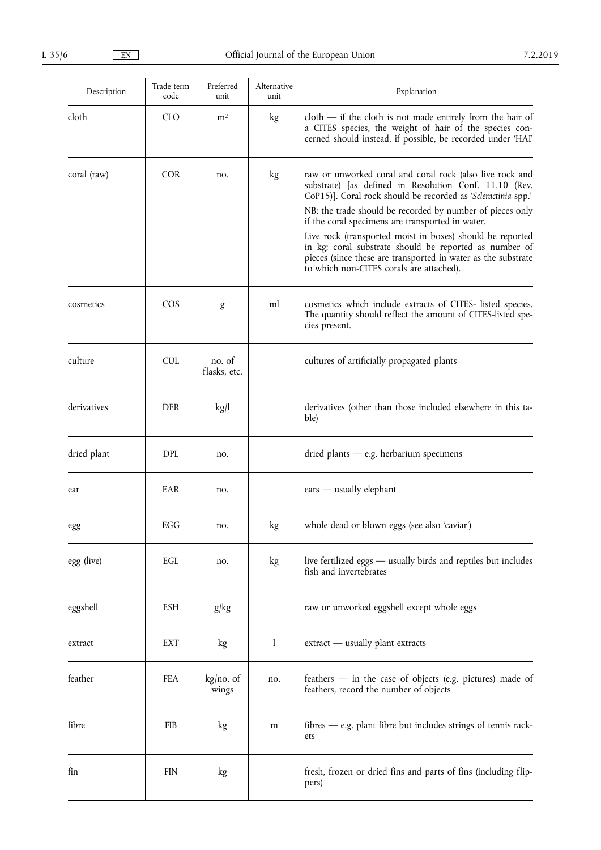| Description | Trade term<br>code | Preferred<br>unit      | Alternative<br>unit | Explanation                                                                                                                                                                                                                                                                                                                                                                                                                                                                                                                              |
|-------------|--------------------|------------------------|---------------------|------------------------------------------------------------------------------------------------------------------------------------------------------------------------------------------------------------------------------------------------------------------------------------------------------------------------------------------------------------------------------------------------------------------------------------------------------------------------------------------------------------------------------------------|
| cloth       | <b>CLO</b>         | m <sup>2</sup>         | kg                  | $\text{cloth}$ - if the cloth is not made entirely from the hair of<br>a CITES species, the weight of hair of the species con-<br>cerned should instead, if possible, be recorded under 'HAI'                                                                                                                                                                                                                                                                                                                                            |
| coral (raw) | <b>COR</b>         | no.                    | kg                  | raw or unworked coral and coral rock (also live rock and<br>substrate) [as defined in Resolution Conf. 11.10 (Rev.<br>CoP15)]. Coral rock should be recorded as 'Scleractinia spp.'<br>NB: the trade should be recorded by number of pieces only<br>if the coral specimens are transported in water.<br>Live rock (transported moist in boxes) should be reported<br>in kg; coral substrate should be reported as number of<br>pieces (since these are transported in water as the substrate<br>to which non-CITES corals are attached). |
| cosmetics   | $\cos$             | g                      | ml                  | cosmetics which include extracts of CITES- listed species.<br>The quantity should reflect the amount of CITES-listed spe-<br>cies present.                                                                                                                                                                                                                                                                                                                                                                                               |
| culture     | <b>CUL</b>         | no. of<br>flasks, etc. |                     | cultures of artificially propagated plants                                                                                                                                                                                                                                                                                                                                                                                                                                                                                               |
| derivatives | <b>DER</b>         | kg/l                   |                     | derivatives (other than those included elsewhere in this ta-<br>ble)                                                                                                                                                                                                                                                                                                                                                                                                                                                                     |
| dried plant | <b>DPL</b>         | no.                    |                     | $d$ ried plants — e.g. herbarium specimens                                                                                                                                                                                                                                                                                                                                                                                                                                                                                               |
| ear         | EAR                | no.                    |                     | $\text{ears}$ — usually elephant                                                                                                                                                                                                                                                                                                                                                                                                                                                                                                         |
| egg         | EGG                | no.                    | kg                  | whole dead or blown eggs (see also 'caviar')                                                                                                                                                                                                                                                                                                                                                                                                                                                                                             |
| egg (live)  | EGL                | no.                    | kg                  | live fertilized eggs - usually birds and reptiles but includes<br>fish and invertebrates                                                                                                                                                                                                                                                                                                                                                                                                                                                 |
| eggshell    | ESH                | g/kg                   |                     | raw or unworked eggshell except whole eggs                                                                                                                                                                                                                                                                                                                                                                                                                                                                                               |
| extract     | EXT                | kg                     | 1                   | extract - usually plant extracts                                                                                                                                                                                                                                                                                                                                                                                                                                                                                                         |
| feather     | FEA                | kg/no. of<br>wings     | no.                 | feathers — in the case of objects (e.g. pictures) made of<br>feathers, record the number of objects                                                                                                                                                                                                                                                                                                                                                                                                                                      |
| fibre       | <b>FIB</b>         | kg                     | m                   | $fibres - e.g.$ plant fibre but includes strings of tennis rack-<br>ets                                                                                                                                                                                                                                                                                                                                                                                                                                                                  |
| fin         | <b>FIN</b>         | kg                     |                     | fresh, frozen or dried fins and parts of fins (including flip-<br>pers)                                                                                                                                                                                                                                                                                                                                                                                                                                                                  |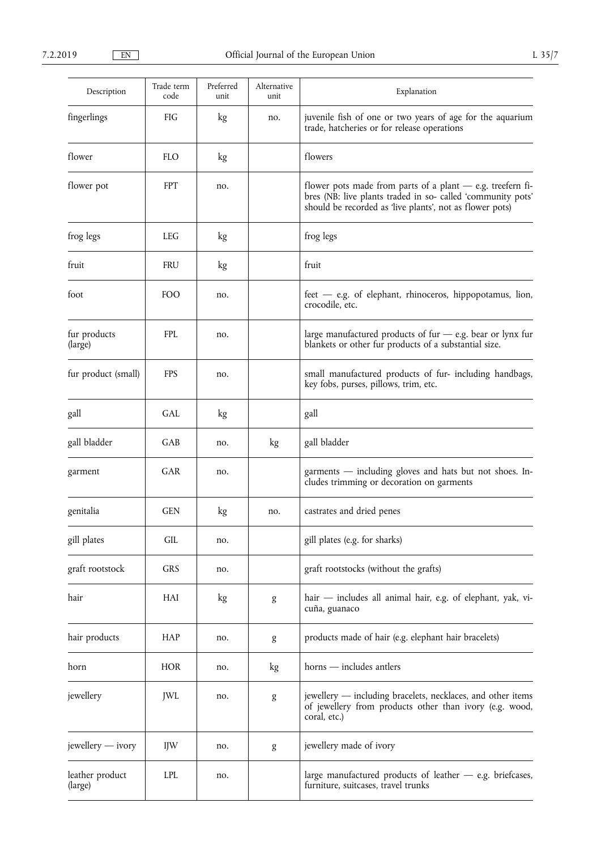| Description                | Trade term<br>code | Preferred<br>unit | Alternative<br>unit | Explanation                                                                                                                                                                            |
|----------------------------|--------------------|-------------------|---------------------|----------------------------------------------------------------------------------------------------------------------------------------------------------------------------------------|
| fingerlings                | <b>FIG</b>         | kg                | no.                 | juvenile fish of one or two years of age for the aquarium<br>trade, hatcheries or for release operations                                                                               |
| flower                     | <b>FLO</b>         | kg                |                     | flowers                                                                                                                                                                                |
| flower pot                 | <b>FPT</b>         | no.               |                     | flower pots made from parts of a plant $-$ e.g. treefern fi-<br>bres (NB: live plants traded in so-called 'community pots'<br>should be recorded as 'live plants', not as flower pots) |
| frog legs                  | <b>LEG</b>         | kg                |                     | frog legs                                                                                                                                                                              |
| fruit                      | <b>FRU</b>         | kg                |                     | fruit                                                                                                                                                                                  |
| foot                       | <b>FOO</b>         | no.               |                     | $feet - e.g.$ of elephant, rhinoceros, hippopotamus, lion,<br>crocodile, etc.                                                                                                          |
| fur products<br>(large)    | <b>FPL</b>         | no.               |                     | large manufactured products of fur $-$ e.g. bear or lynx fur<br>blankets or other fur products of a substantial size.                                                                  |
| fur product (small)        | <b>FPS</b>         | no.               |                     | small manufactured products of fur- including handbags,<br>key fobs, purses, pillows, trim, etc.                                                                                       |
| gall                       | <b>GAL</b>         | kg                |                     | gall                                                                                                                                                                                   |
| gall bladder               | GAB                | no.               | kg                  | gall bladder                                                                                                                                                                           |
| garment                    | GAR                | no.               |                     | garments - including gloves and hats but not shoes. In-<br>cludes trimming or decoration on garments                                                                                   |
| genitalia                  | <b>GEN</b>         | kg                | no.                 | castrates and dried penes                                                                                                                                                              |
| gill plates                | <b>GIL</b>         | no.               |                     | gill plates (e.g. for sharks)                                                                                                                                                          |
| graft rootstock            | <b>GRS</b>         | no.               |                     | graft rootstocks (without the grafts)                                                                                                                                                  |
| hair                       | HAI                | kg                | g                   | hair — includes all animal hair, e.g. of elephant, yak, vi-<br>cuña, guanaco                                                                                                           |
| hair products              | HAP                | no.               | g                   | products made of hair (e.g. elephant hair bracelets)                                                                                                                                   |
| horn                       | <b>HOR</b>         | no.               | kg                  | horns - includes antlers                                                                                                                                                               |
| jewellery                  | JWL                | no.               | g                   | jewellery — including bracelets, necklaces, and other items<br>of jewellery from products other than ivory (e.g. wood,<br>coral, etc.)                                                 |
| jewellery — ivory          | <b>IJW</b>         | no.               | g                   | jewellery made of ivory                                                                                                                                                                |
| leather product<br>(large) | <b>LPL</b>         | no.               |                     | large manufactured products of leather $-$ e.g. briefcases,<br>furniture, suitcases, travel trunks                                                                                     |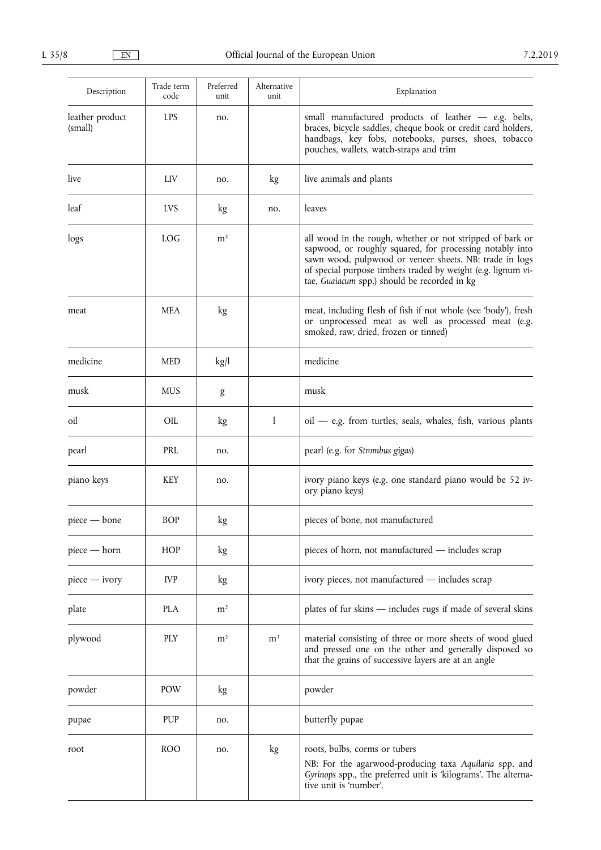| Description                | Trade term<br>code | Preferred<br>unit | Alternative<br>unit | Explanation                                                                                                                                                                                                                                                                                      |
|----------------------------|--------------------|-------------------|---------------------|--------------------------------------------------------------------------------------------------------------------------------------------------------------------------------------------------------------------------------------------------------------------------------------------------|
| leather product<br>(small) | <b>LPS</b>         | no.               |                     | small manufactured products of leather - e.g. belts,<br>braces, bicycle saddles, cheque book or credit card holders,<br>handbags, key fobs, notebooks, purses, shoes, tobacco<br>pouches, wallets, watch-straps and trim                                                                         |
| live                       | LIV                | no.               | kg                  | live animals and plants                                                                                                                                                                                                                                                                          |
| leaf                       | <b>LVS</b>         | kg                | no.                 | leaves                                                                                                                                                                                                                                                                                           |
| logs                       | <b>LOG</b>         | m <sup>3</sup>    |                     | all wood in the rough, whether or not stripped of bark or<br>sapwood, or roughly squared, for processing notably into<br>sawn wood, pulpwood or veneer sheets. NB: trade in logs<br>of special purpose timbers traded by weight (e.g. lignum vi-<br>tae, Guaiacum spp.) should be recorded in kg |
| meat                       | <b>MEA</b>         | kg                |                     | meat, including flesh of fish if not whole (see 'body'), fresh<br>or unprocessed meat as well as processed meat (e.g.<br>smoked, raw, dried, frozen or tinned)                                                                                                                                   |
| medicine                   | <b>MED</b>         | kg/l              |                     | medicine                                                                                                                                                                                                                                                                                         |
| musk                       | <b>MUS</b>         | g                 |                     | musk                                                                                                                                                                                                                                                                                             |
| oil                        | OIL                | kg                | $\mathbf{1}$        | oil - e.g. from turtles, seals, whales, fish, various plants                                                                                                                                                                                                                                     |
| pearl                      | PRL                | no.               |                     | pearl (e.g. for Strombus gigas)                                                                                                                                                                                                                                                                  |
| piano keys                 | <b>KEY</b>         | no.               |                     | ivory piano keys (e.g. one standard piano would be 52 iv-<br>ory piano keys)                                                                                                                                                                                                                     |
| $piece - bone$             | <b>BOP</b>         | kg                |                     | pieces of bone, not manufactured                                                                                                                                                                                                                                                                 |
| piece - horn               | <b>HOP</b>         | kg                |                     | pieces of horn, not manufactured - includes scrap                                                                                                                                                                                                                                                |
| $piece - ivory$            | <b>IVP</b>         | kg                |                     | ivory pieces, not manufactured - includes scrap                                                                                                                                                                                                                                                  |
| plate                      | <b>PLA</b>         | m <sup>2</sup>    |                     | plates of fur skins - includes rugs if made of several skins                                                                                                                                                                                                                                     |
| plywood                    | <b>PLY</b>         | m <sup>2</sup>    | m <sup>3</sup>      | material consisting of three or more sheets of wood glued<br>and pressed one on the other and generally disposed so<br>that the grains of successive layers are at an angle                                                                                                                      |
| powder                     | <b>POW</b>         | kg                |                     | powder                                                                                                                                                                                                                                                                                           |
| pupae                      | <b>PUP</b>         | no.               |                     | butterfly pupae                                                                                                                                                                                                                                                                                  |
| root                       | <b>ROO</b>         | no.               | kg                  | roots, bulbs, corms or tubers<br>NB: For the agarwood-producing taxa Aquilaria spp. and<br>Gyrinops spp., the preferred unit is 'kilograms'. The alterna-<br>tive unit is 'number'.                                                                                                              |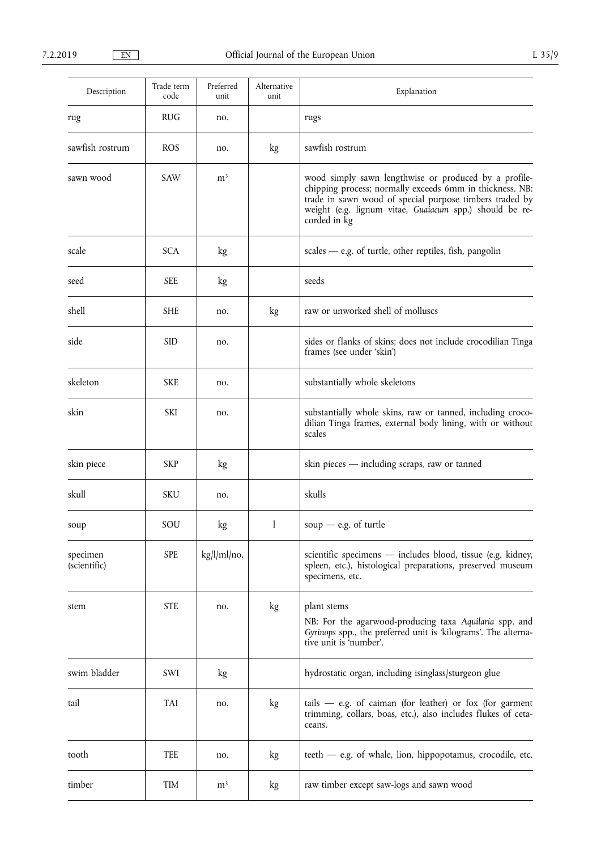| Description              | Trade term<br>code | Preferred<br>unit | Alternative<br>unit | Explanation                                                                                                                                                                                                                                             |
|--------------------------|--------------------|-------------------|---------------------|---------------------------------------------------------------------------------------------------------------------------------------------------------------------------------------------------------------------------------------------------------|
| rug                      | <b>RUG</b>         | no.               |                     | rugs                                                                                                                                                                                                                                                    |
| sawfish rostrum          | <b>ROS</b>         | no.               | kg                  | sawfish rostrum                                                                                                                                                                                                                                         |
| sawn wood                | <b>SAW</b>         | m <sup>3</sup>    |                     | wood simply sawn lengthwise or produced by a profile-<br>chipping process; normally exceeds 6mm in thickness. NB:<br>trade in sawn wood of special purpose timbers traded by<br>weight (e.g. lignum vitae, Guaiacum spp.) should be re-<br>corded in kg |
| scale                    | <b>SCA</b>         | kg                |                     | $scales - e.g.$ of turtle, other reptiles, fish, pangolin                                                                                                                                                                                               |
| seed                     | <b>SEE</b>         | kg                |                     | seeds                                                                                                                                                                                                                                                   |
| shell                    | <b>SHE</b>         | no.               | kg                  | raw or unworked shell of molluscs                                                                                                                                                                                                                       |
| side                     | <b>SID</b>         | no.               |                     | sides or flanks of skins; does not include crocodilian Tinga<br>frames (see under 'skin')                                                                                                                                                               |
| skeleton                 | <b>SKE</b>         | no.               |                     | substantially whole skeletons                                                                                                                                                                                                                           |
| skin                     | <b>SKI</b>         | no.               |                     | substantially whole skins, raw or tanned, including croco-<br>dilian Tinga frames, external body lining, with or without<br>scales                                                                                                                      |
| skin piece               | SKP                | kg                |                     | skin pieces - including scraps, raw or tanned                                                                                                                                                                                                           |
| skull                    | SKU                | no.               |                     | skulls                                                                                                                                                                                                                                                  |
| soup                     | SOU                | kg                | $\mathbf{1}$        | soup $-$ e.g. of turtle                                                                                                                                                                                                                                 |
| specimen<br>(scientific) | <b>SPE</b>         | kg/l/ml/no.       |                     | scientific specimens - includes blood, tissue (e.g. kidney,<br>spleen, etc.), histological preparations, preserved museum<br>specimens, etc.                                                                                                            |
| stem                     | <b>STE</b>         | no.               | kg                  | plant stems<br>NB: For the agarwood-producing taxa Aquilaria spp. and<br>Gyrinops spp., the preferred unit is 'kilograms'. The alterna-<br>tive unit is 'number'.                                                                                       |
| swim bladder             | SWI                | kg                |                     | hydrostatic organ, including isinglass/sturgeon glue                                                                                                                                                                                                    |
| tail                     | TAI                | no.               | kg                  | tails $-$ e.g. of caiman (for leather) or fox (for garment<br>trimming, collars, boas, etc.), also includes flukes of ceta-<br>ceans.                                                                                                                   |
| tooth                    | <b>TEE</b>         | no.               | kg                  | teeth - e.g. of whale, lion, hippopotamus, crocodile, etc.                                                                                                                                                                                              |
| timber                   | TIM                | m <sup>3</sup>    | kg                  | raw timber except saw-logs and sawn wood                                                                                                                                                                                                                |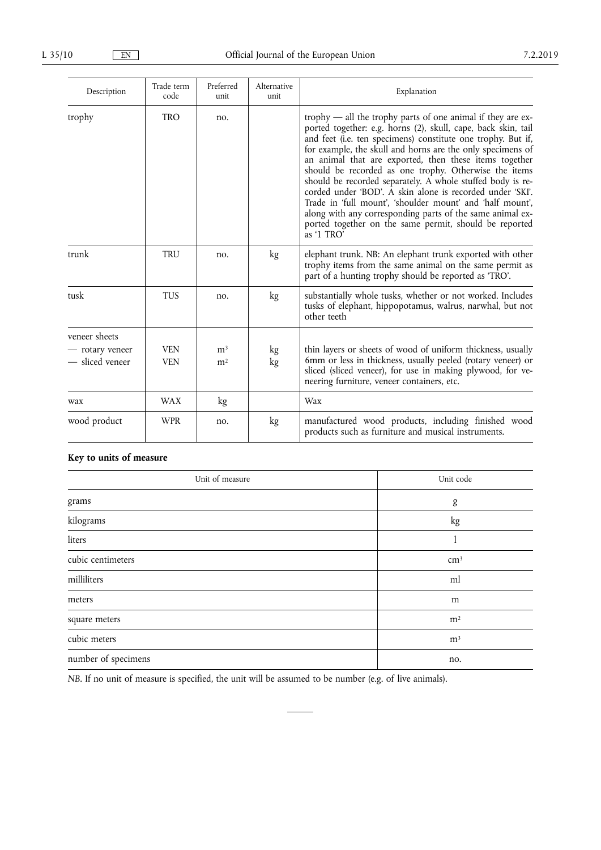| Description                                         | Trade term<br>code       | Preferred<br>unit                | Alternative<br>unit | Explanation                                                                                                                                                                                                                                                                                                                                                                                                                                                                                                                                                                                                                                                                                                  |
|-----------------------------------------------------|--------------------------|----------------------------------|---------------------|--------------------------------------------------------------------------------------------------------------------------------------------------------------------------------------------------------------------------------------------------------------------------------------------------------------------------------------------------------------------------------------------------------------------------------------------------------------------------------------------------------------------------------------------------------------------------------------------------------------------------------------------------------------------------------------------------------------|
| trophy                                              | <b>TRO</b>               | no.                              |                     | trophy $-$ all the trophy parts of one animal if they are ex-<br>ported together: e.g. horns (2), skull, cape, back skin, tail<br>and feet (i.e. ten specimens) constitute one trophy. But if,<br>for example, the skull and horns are the only specimens of<br>an animal that are exported, then these items together<br>should be recorded as one trophy. Otherwise the items<br>should be recorded separately. A whole stuffed body is re-<br>corded under 'BOD'. A skin alone is recorded under 'SKI'.<br>Trade in 'full mount', 'shoulder mount' and 'half mount',<br>along with any corresponding parts of the same animal ex-<br>ported together on the same permit, should be reported<br>as '1 TRO' |
| trunk                                               | <b>TRU</b>               | no.                              | kg                  | elephant trunk. NB: An elephant trunk exported with other<br>trophy items from the same animal on the same permit as<br>part of a hunting trophy should be reported as 'TRO'.                                                                                                                                                                                                                                                                                                                                                                                                                                                                                                                                |
| tusk                                                | <b>TUS</b>               | no.                              | kg                  | substantially whole tusks, whether or not worked. Includes<br>tusks of elephant, hippopotamus, walrus, narwhal, but not<br>other teeth                                                                                                                                                                                                                                                                                                                                                                                                                                                                                                                                                                       |
| veneer sheets<br>- rotary veneer<br>- sliced veneer | <b>VEN</b><br><b>VEN</b> | m <sup>3</sup><br>m <sup>2</sup> | kg<br>kg            | thin layers or sheets of wood of uniform thickness, usually<br>6mm or less in thickness, usually peeled (rotary veneer) or<br>sliced (sliced veneer), for use in making plywood, for ve-<br>neering furniture, veneer containers, etc.                                                                                                                                                                                                                                                                                                                                                                                                                                                                       |
| wax                                                 | <b>WAX</b>               | kg                               |                     | Wax                                                                                                                                                                                                                                                                                                                                                                                                                                                                                                                                                                                                                                                                                                          |
| wood product                                        | <b>WPR</b>               | no.                              | kg                  | manufactured wood products, including finished wood<br>products such as furniture and musical instruments.                                                                                                                                                                                                                                                                                                                                                                                                                                                                                                                                                                                                   |

# **Key to units of measure**

| Unit of measure     | Unit code      |
|---------------------|----------------|
| grams               | g              |
| kilograms           | kg             |
| liters              |                |
| cubic centimeters   | $\rm cm^3$     |
| milliliters         | ml             |
| meters              | m              |
| square meters       | m <sup>2</sup> |
| cubic meters        | m <sup>3</sup> |
| number of specimens | no.            |

*NB.* If no unit of measure is specified, the unit will be assumed to be number (e.g. of live animals).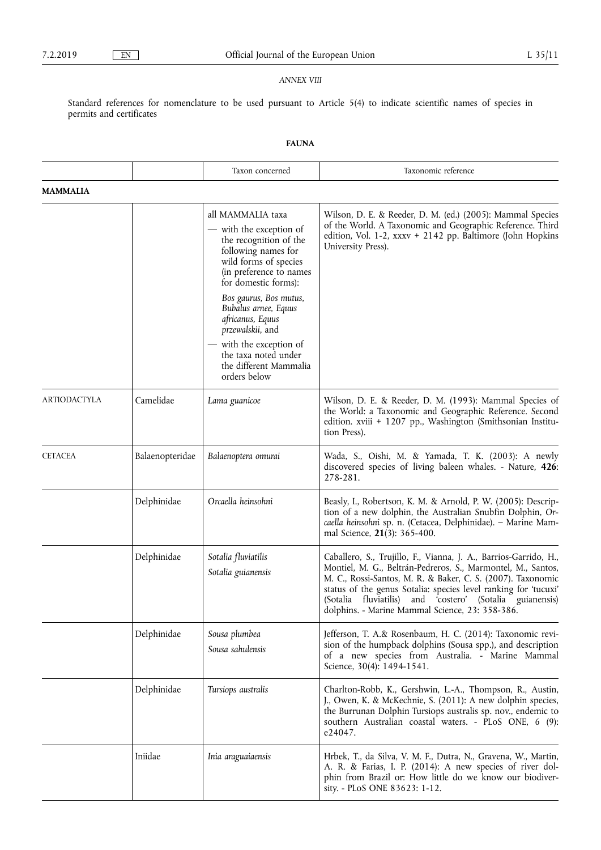### *ANNEX VIII*

Standard references for nomenclature to be used pursuant to Article 5(4) to indicate scientific names of species in permits and certificates

# **FAUNA**

|                     |                 | Taxon concerned                                                                                                                                                                                                                                                                                                        | Taxonomic reference                                                                                                                                                                                                                                                                                                                                                               |
|---------------------|-----------------|------------------------------------------------------------------------------------------------------------------------------------------------------------------------------------------------------------------------------------------------------------------------------------------------------------------------|-----------------------------------------------------------------------------------------------------------------------------------------------------------------------------------------------------------------------------------------------------------------------------------------------------------------------------------------------------------------------------------|
| <b>MAMMALIA</b>     |                 |                                                                                                                                                                                                                                                                                                                        |                                                                                                                                                                                                                                                                                                                                                                                   |
|                     |                 | all MAMMALIA taxa<br>- with the exception of<br>the recognition of the<br>following names for<br>wild forms of species<br>(in preference to names<br>for domestic forms):<br>Bos gaurus, Bos mutus,<br>Bubalus arnee, Equus<br>africanus, Equus<br>przewalskii, and<br>— with the exception of<br>the taxa noted under | Wilson, D. E. & Reeder, D. M. (ed.) (2005): Mammal Species<br>of the World. A Taxonomic and Geographic Reference. Third<br>edition, Vol. 1-2, xxxv + 2142 pp. Baltimore (John Hopkins<br>University Press).                                                                                                                                                                       |
|                     |                 | the different Mammalia<br>orders below                                                                                                                                                                                                                                                                                 |                                                                                                                                                                                                                                                                                                                                                                                   |
| <b>ARTIODACTYLA</b> | Camelidae       | Lama guanicoe                                                                                                                                                                                                                                                                                                          | Wilson, D. E. & Reeder, D. M. (1993): Mammal Species of<br>the World: a Taxonomic and Geographic Reference. Second<br>edition. xviii + 1207 pp., Washington (Smithsonian Institu-<br>tion Press).                                                                                                                                                                                 |
| <b>CETACEA</b>      | Balaenopteridae | Balaenoptera omurai                                                                                                                                                                                                                                                                                                    | Wada, S., Oishi, M. & Yamada, T. K. (2003): A newly<br>discovered species of living baleen whales. - Nature, 426:<br>278-281.                                                                                                                                                                                                                                                     |
|                     | Delphinidae     | Orcaella heinsohni                                                                                                                                                                                                                                                                                                     | Beasly, I., Robertson, K. M. & Arnold, P. W. (2005): Descrip-<br>tion of a new dolphin, the Australian Snubfin Dolphin, Or-<br>caella heinsohni sp. n. (Cetacea, Delphinidae). - Marine Mam-<br>mal Science, 21(3): 365-400.                                                                                                                                                      |
|                     | Delphinidae     | Sotalia fluviatilis<br>Sotalia guianensis                                                                                                                                                                                                                                                                              | Caballero, S., Trujillo, F., Vianna, J. A., Barrios-Garrido, H.,<br>Montiel, M. G., Beltrán-Pedreros, S., Marmontel, M., Santos,<br>M. C., Rossi-Santos, M. R. & Baker, C. S. (2007). Taxonomic<br>status of the genus Sotalia: species level ranking for 'tucuxi'<br>(Sotalia fluviatilis) and 'costero' (Sotalia guianensis)<br>dolphins. - Marine Mammal Science, 23: 358-386. |
|                     | Delphinidae     | Sousa plumbea<br>Sousa sahulensis                                                                                                                                                                                                                                                                                      | Jefferson, T. A.& Rosenbaum, H. C. (2014): Taxonomic revi-<br>sion of the humpback dolphins (Sousa spp.), and description<br>of a new species from Australia. - Marine Mammal<br>Science, 30(4): 1494-1541.                                                                                                                                                                       |
|                     | Delphinidae     | Tursiops australis                                                                                                                                                                                                                                                                                                     | Charlton-Robb, K., Gershwin, L.-A., Thompson, R., Austin,<br>J., Owen, K. & McKechnie, S. (2011): A new dolphin species,<br>the Burrunan Dolphin Tursiops australis sp. nov., endemic to<br>southern Australian coastal waters. - PLoS ONE, 6 (9):<br>e24047.                                                                                                                     |
|                     | Iniidae         | Inia araguaiaensis                                                                                                                                                                                                                                                                                                     | Hrbek, T., da Silva, V. M. F., Dutra, N., Gravena, W., Martin,<br>A. R. & Farias, I. P. (2014): A new species of river dol-<br>phin from Brazil or: How little do we know our biodiver-<br>sity. - PLoS ONE 83623: 1-12.                                                                                                                                                          |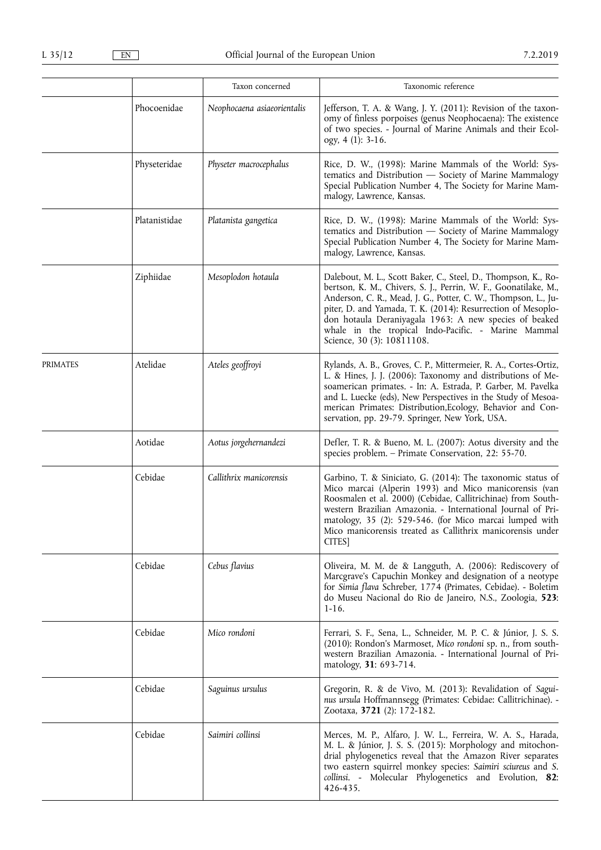|          |               | Taxon concerned             | Taxonomic reference                                                                                                                                                                                                                                                                                                                                                                                                |
|----------|---------------|-----------------------------|--------------------------------------------------------------------------------------------------------------------------------------------------------------------------------------------------------------------------------------------------------------------------------------------------------------------------------------------------------------------------------------------------------------------|
|          | Phocoenidae   | Neophocaena asiaeorientalis | Jefferson, T. A. & Wang, J. Y. (2011): Revision of the taxon-<br>omy of finless porpoises (genus Neophocaena): The existence<br>of two species. - Journal of Marine Animals and their Ecol-<br>ogy, 4 (1): 3-16.                                                                                                                                                                                                   |
|          | Physeteridae  | Physeter macrocephalus      | Rice, D. W., (1998): Marine Mammals of the World: Sys-<br>tematics and Distribution - Society of Marine Mammalogy<br>Special Publication Number 4, The Society for Marine Mam-<br>malogy, Lawrence, Kansas.                                                                                                                                                                                                        |
|          | Platanistidae | Platanista gangetica        | Rice, D. W., (1998): Marine Mammals of the World: Sys-<br>tematics and Distribution - Society of Marine Mammalogy<br>Special Publication Number 4, The Society for Marine Mam-<br>malogy, Lawrence, Kansas.                                                                                                                                                                                                        |
|          | Ziphiidae     | Mesoplodon hotaula          | Dalebout, M. L., Scott Baker, C., Steel, D., Thompson, K., Ro-<br>bertson, K. M., Chivers, S. J., Perrin, W. F., Goonatilake, M.,<br>Anderson, C. R., Mead, J. G., Potter, C. W., Thompson, L., Ju-<br>piter, D. and Yamada, T. K. (2014): Resurrection of Mesoplo-<br>don hotaula Deraniyagala 1963: A new species of beaked<br>whale in the tropical Indo-Pacific. - Marine Mammal<br>Science, 30 (3): 10811108. |
| PRIMATES | Atelidae      | Ateles geoffroyi            | Rylands, A. B., Groves, C. P., Mittermeier, R. A., Cortes-Ortiz,<br>L. & Hines, J. J. (2006): Taxonomy and distributions of Me-<br>soamerican primates. - In: A. Estrada, P. Garber, M. Pavelka<br>and L. Luecke (eds), New Perspectives in the Study of Mesoa-<br>merican Primates: Distribution, Ecology, Behavior and Con-<br>servation, pp. 29-79. Springer, New York, USA.                                    |
|          | Aotidae       | Aotus jorgehernandezi       | Defler, T. R. & Bueno, M. L. (2007): Aotus diversity and the<br>species problem. – Primate Conservation, 22: 55-70.                                                                                                                                                                                                                                                                                                |
|          | Cebidae       | Callithrix manicorensis     | Garbino, T. & Siniciato, G. (2014): The taxonomic status of<br>Mico marcai (Alperin 1993) and Mico manicorensis (van<br>Roosmalen et al. 2000) (Cebidae, Callitrichinae) from South-<br>western Brazilian Amazonia. - International Journal of Pri-<br>matology, 35 (2): 529-546. (for Mico marcai lumped with<br>Mico manicorensis treated as Callithrix manicorensis under<br>CITES]                             |
|          | Cebidae       | Cebus flavius               | Oliveira, M. M. de & Langguth, A. (2006): Rediscovery of<br>Marcgrave's Capuchin Monkey and designation of a neotype<br>for Simia flava Schreber, 1774 (Primates, Cebidae). - Boletim<br>do Museu Nacional do Rio de Janeiro, N.S., Zoologia, 523:<br>$1-16.$                                                                                                                                                      |
|          | Cebidae       | Mico rondoni                | Ferrari, S. F., Sena, L., Schneider, M. P. C. & Júnior, J. S. S.<br>(2010): Rondon's Marmoset, Mico rondoni sp. n., from south-<br>western Brazilian Amazonia. - International Journal of Pri-<br>matology, 31: 693-714.                                                                                                                                                                                           |
|          | Cebidae       | Saguinus ursulus            | Gregorin, R. & de Vivo, M. (2013): Revalidation of Sagui-<br>nus ursula Hoffmannsegg (Primates: Cebidae: Callitrichinae). -<br>Zootaxa, 3721 (2): 172-182.                                                                                                                                                                                                                                                         |
|          | Cebidae       | Saimiri collinsi            | Merces, M. P., Alfaro, J. W. L., Ferreira, W. A. S., Harada,<br>M. L. & Júnior, J. S. S. (2015): Morphology and mitochon-<br>drial phylogenetics reveal that the Amazon River separates<br>two eastern squirrel monkey species: Saimiri sciureus and S.<br>collinsi. - Molecular Phylogenetics and Evolution, 82:<br>426-435.                                                                                      |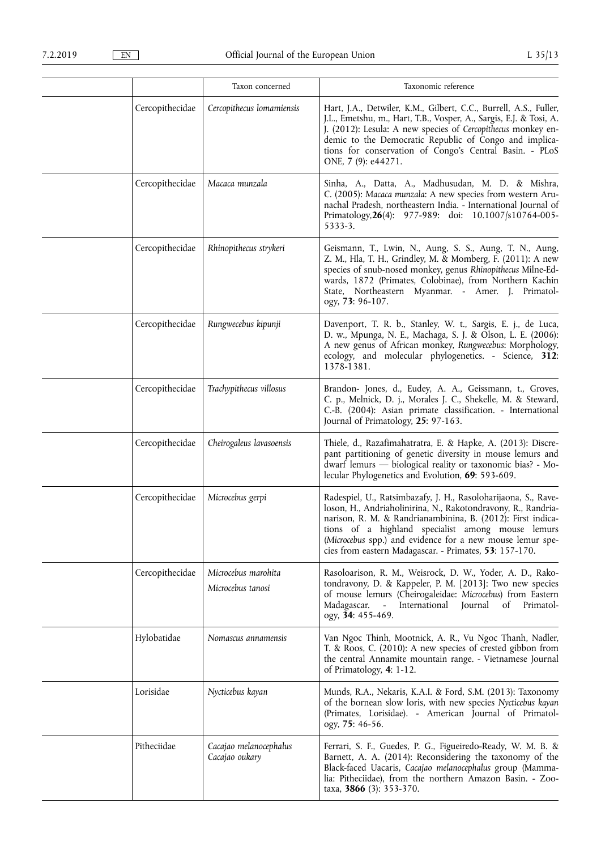|                 | Taxon concerned                          | Taxonomic reference                                                                                                                                                                                                                                                                                                                                                        |
|-----------------|------------------------------------------|----------------------------------------------------------------------------------------------------------------------------------------------------------------------------------------------------------------------------------------------------------------------------------------------------------------------------------------------------------------------------|
| Cercopithecidae | Cercopithecus lomamiensis                | Hart, J.A., Detwiler, K.M., Gilbert, C.C., Burrell, A.S., Fuller,<br>J.L., Emetshu, m., Hart, T.B., Vosper, A., Sargis, E.J. & Tosi, A.<br>J. (2012): Lesula: A new species of Cercopithecus monkey en-<br>demic to the Democratic Republic of Congo and implica-<br>tions for conservation of Congo's Central Basin. - PLoS<br>ONE, 7 (9): e44271.                        |
| Cercopithecidae | Macaca munzala                           | Sinha, A., Datta, A., Madhusudan, M. D. & Mishra,<br>C. (2005): Macaca munzala: A new species from western Aru-<br>nachal Pradesh, northeastern India. - International Journal of<br>Primatology, 26(4): 977-989: doi: 10.1007/s10764-005-<br>5333-3.                                                                                                                      |
| Cercopithecidae | Rhinopithecus strykeri                   | Geismann, T., Lwin, N., Aung, S. S., Aung, T. N., Aung,<br>Z. M., Hla, T. H., Grindley, M. & Momberg, F. (2011): A new<br>species of snub-nosed monkey, genus Rhinopithecus Milne-Ed-<br>wards, 1872 (Primates, Colobinae), from Northern Kachin<br>State, Northeastern Myanmar. - Amer. J. Primatol-<br>ogy, 73: 96-107.                                                  |
| Cercopithecidae | Rungwecebus kipunji                      | Davenport, T. R. b., Stanley, W. t., Sargis, E. j., de Luca,<br>D. w., Mpunga, N. E., Machaga, S. J. & Olson, L. E. (2006):<br>A new genus of African monkey, Rungwecebus: Morphology,<br>ecology, and molecular phylogenetics. - Science, 312:<br>1378-1381.                                                                                                              |
| Cercopithecidae | Trachypithecus villosus                  | Brandon- Jones, d., Eudey, A. A., Geissmann, t., Groves,<br>C. p., Melnick, D. j., Morales J. C., Shekelle, M. & Steward,<br>C.-B. (2004): Asian primate classification. - International<br>Journal of Primatology, 25: 97-163.                                                                                                                                            |
| Cercopithecidae | Cheirogaleus lavasoensis                 | Thiele, d., Razafimahatratra, E. & Hapke, A. (2013): Discre-<br>pant partitioning of genetic diversity in mouse lemurs and<br>dwarf lemurs - biological reality or taxonomic bias? - Mo-<br>lecular Phylogenetics and Evolution, 69: 593-609.                                                                                                                              |
| Cercopithecidae | Microcebus gerpi                         | Radespiel, U., Ratsimbazafy, J. H., Rasoloharijaona, S., Rave-<br>loson, H., Andriaholinirina, N., Rakotondravony, R., Randria-<br>narison, R. M. & Randrianambinina, B. (2012): First indica-<br>tions of a highland specialist among mouse lemurs<br>(Microcebus spp.) and evidence for a new mouse lemur spe-<br>cies from eastern Madagascar. - Primates, 53: 157-170. |
| Cercopithecidae | Microcebus marohita<br>Microcebus tanosi | Rasoloarison, R. M., Weisrock, D. W., Yoder, A. D., Rako-<br>tondravony, D. & Kappeler, P. M. [2013]: Two new species<br>of mouse lemurs (Cheirogaleidae: Microcebus) from Eastern<br>International<br>Madagascar.<br>Journal<br>of<br>Primatol-<br>$\sim$<br>ogy, 34: 455-469.                                                                                            |
| Hylobatidae     | Nomascus annamensis                      | Van Ngoc Thinh, Mootnick, A. R., Vu Ngoc Thanh, Nadler,<br>T. & Roos, C. (2010): A new species of crested gibbon from<br>the central Annamite mountain range. - Vietnamese Journal<br>of Primatology, 4: 1-12.                                                                                                                                                             |
| Lorisidae       | Nycticebus kayan                         | Munds, R.A., Nekaris, K.A.I. & Ford, S.M. (2013): Taxonomy<br>of the bornean slow loris, with new species Nycticebus kayan<br>(Primates, Lorisidae). - American Journal of Primatol-<br>ogy, 75: 46-56.                                                                                                                                                                    |
| Pitheciidae     | Cacajao melanocephalus<br>Cacajao oukary | Ferrari, S. F., Guedes, P. G., Figueiredo-Ready, W. M. B. &<br>Barnett, A. A. (2014): Reconsidering the taxonomy of the<br>Black-faced Uacaris, Cacajao melanocephalus group (Mamma-<br>lia: Pitheciidae), from the northern Amazon Basin. - Zoo-<br>taxa, 3866 (3): 353-370.                                                                                              |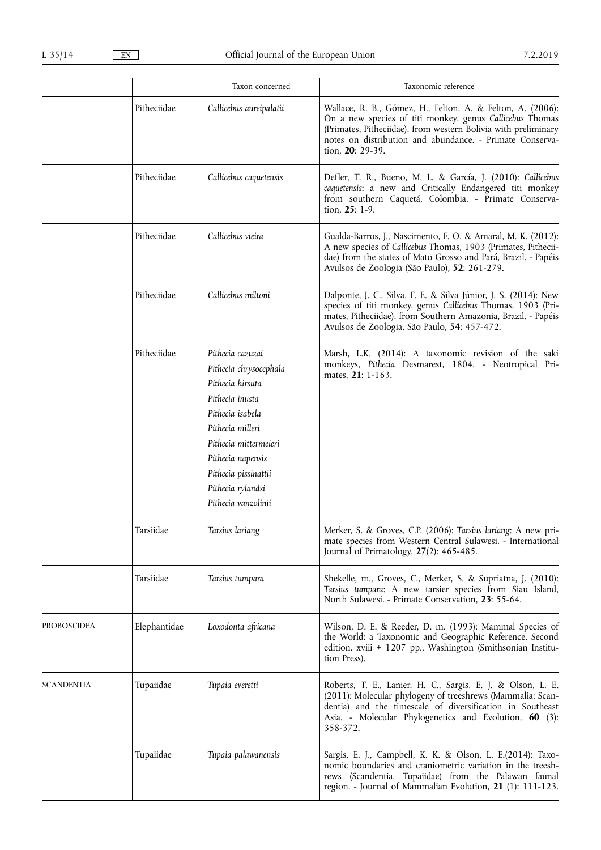|                                                        |                                                                                                                                                                                                                                             | Taxon concerned                                                                                                                    | Taxonomic reference                                                                                                                                                                                                                                                      |
|--------------------------------------------------------|---------------------------------------------------------------------------------------------------------------------------------------------------------------------------------------------------------------------------------------------|------------------------------------------------------------------------------------------------------------------------------------|--------------------------------------------------------------------------------------------------------------------------------------------------------------------------------------------------------------------------------------------------------------------------|
|                                                        | Pitheciidae                                                                                                                                                                                                                                 | Callicebus aureipalatii                                                                                                            | Wallace, R. B., Gómez, H., Felton, A. & Felton, A. (2006):<br>On a new species of titi monkey, genus Callicebus Thomas<br>(Primates, Pitheciidae), from western Bolivia with preliminary<br>notes on distribution and abundance. - Primate Conserva-<br>tion, 20: 29-39. |
|                                                        | Pitheciidae                                                                                                                                                                                                                                 | Callicebus caquetensis                                                                                                             | Defler, T. R., Bueno, M. L. & García, J. (2010): Callicebus<br>caquetensis: a new and Critically Endangered titi monkey<br>from southern Caquetá, Colombia. - Primate Conserva-<br>tion, 25: 1-9.                                                                        |
| Pitheciidae<br>Pitheciidae<br>Pitheciidae<br>Tarsiidae |                                                                                                                                                                                                                                             | Callicebus vieira                                                                                                                  | Gualda-Barros, J., Nascimento, F. O. & Amaral, M. K. (2012):<br>A new species of Callicebus Thomas, 1903 (Primates, Pithecii-<br>dae) from the states of Mato Grosso and Pará, Brazil. - Papéis<br>Avulsos de Zoologia (São Paulo), 52: 261-279.                         |
|                                                        |                                                                                                                                                                                                                                             | Callicebus miltoni                                                                                                                 | Dalponte, J. C., Silva, F. E. & Silva Júnior, J. S. (2014): New<br>species of titi monkey, genus Callicebus Thomas, 1903 (Pri-<br>mates, Pitheciidae), from Southern Amazonia, Brazil. - Papéis<br>Avulsos de Zoologia, São Paulo, 54: 457-472.                          |
|                                                        | Pithecia cazuzai<br>Pithecia chrysocephala<br>Pithecia hirsuta<br>Pithecia inusta<br>Pithecia isabela<br>Pithecia milleri<br>Pithecia mittermeieri<br>Pithecia napensis<br>Pithecia pissinattii<br>Pithecia rylandsi<br>Pithecia vanzolinii | Marsh, L.K. (2014): A taxonomic revision of the saki<br>monkeys, Pithecia Desmarest, 1804. - Neotropical Pri-<br>mates, 21: 1-163. |                                                                                                                                                                                                                                                                          |
|                                                        |                                                                                                                                                                                                                                             | Tarsius lariang                                                                                                                    | Merker, S. & Groves, C.P. (2006): Tarsius lariang: A new pri-<br>mate species from Western Central Sulawesi. - International<br>Journal of Primatology, $27(2)$ : 465-485.                                                                                               |
|                                                        | Tarsiidae                                                                                                                                                                                                                                   | Tarsius tumpara                                                                                                                    | Shekelle, m., Groves, C., Merker, S. & Supriatna, J. (2010):<br>Tarsius tumpara: A new tarsier species from Siau Island,<br>North Sulawesi. - Primate Conservation, 23: 55-64.                                                                                           |
| PROBOSCIDEA                                            | Elephantidae                                                                                                                                                                                                                                | Loxodonta africana                                                                                                                 | Wilson, D. E. & Reeder, D. m. (1993): Mammal Species of<br>the World: a Taxonomic and Geographic Reference. Second<br>edition. xviii + 1207 pp., Washington (Smithsonian Institu-<br>tion Press).                                                                        |
| <b>SCANDENTIA</b>                                      | Tupaiidae                                                                                                                                                                                                                                   | Tupaia everetti                                                                                                                    | Roberts, T. E., Lanier, H. C., Sargis, E. J. & Olson, L. E.<br>(2011): Molecular phylogeny of treeshrews (Mammalia: Scan-<br>dentia) and the timescale of diversification in Southeast<br>Asia. - Molecular Phylogenetics and Evolution, 60 (3):<br>358-372.             |
|                                                        | Tupaiidae                                                                                                                                                                                                                                   | Tupaia palawanensis                                                                                                                | Sargis, E. J., Campbell, K. K. & Olson, L. E.(2014): Taxo-<br>nomic boundaries and craniometric variation in the treesh-<br>rews (Scandentia, Tupaiidae) from the Palawan faunal<br>region. - Journal of Mammalian Evolution, 21 (1): 111-123.                           |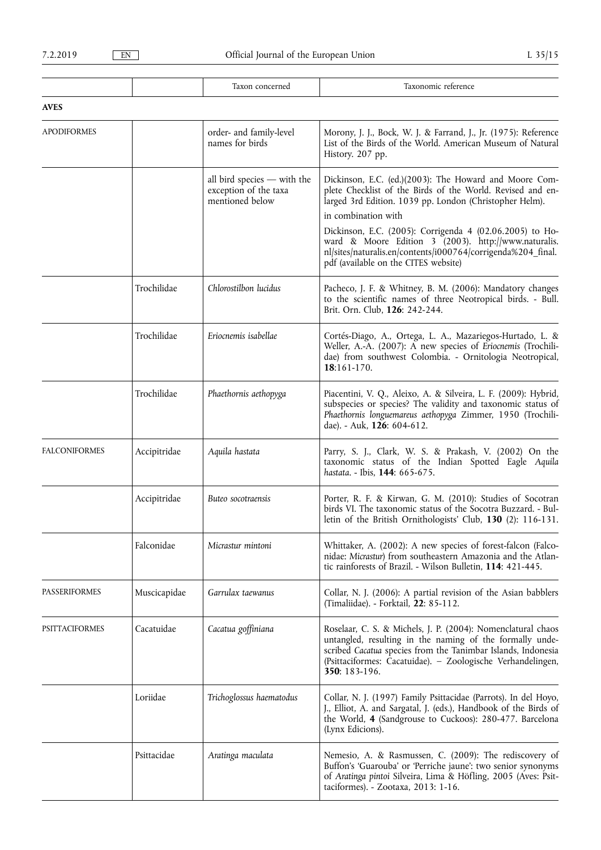T

T

 $\overline{\mathsf{T}}$ 

|                       |              | Taxon concerned                                                           | Taxonomic reference                                                                                                                                                                                                                                                                                                                                                                                                                |
|-----------------------|--------------|---------------------------------------------------------------------------|------------------------------------------------------------------------------------------------------------------------------------------------------------------------------------------------------------------------------------------------------------------------------------------------------------------------------------------------------------------------------------------------------------------------------------|
| <b>AVES</b>           |              |                                                                           |                                                                                                                                                                                                                                                                                                                                                                                                                                    |
| <b>APODIFORMES</b>    |              | order- and family-level<br>names for birds                                | Morony, J. J., Bock, W. J. & Farrand, J., Jr. (1975): Reference<br>List of the Birds of the World. American Museum of Natural<br>History. 207 pp.                                                                                                                                                                                                                                                                                  |
|                       |              | all bird species $-$ with the<br>exception of the taxa<br>mentioned below | Dickinson, E.C. (ed.)(2003): The Howard and Moore Com-<br>plete Checklist of the Birds of the World. Revised and en-<br>larged 3rd Edition. 1039 pp. London (Christopher Helm).<br>in combination with<br>Dickinson, E.C. (2005): Corrigenda 4 (02.06.2005) to Ho-<br>ward & Moore Edition 3 (2003). http://www.naturalis.<br>nl/sites/naturalis.en/contents/i000764/corrigenda%204_final.<br>pdf (available on the CITES website) |
|                       | Trochilidae  | Chlorostilbon lucidus                                                     | Pacheco, J. F. & Whitney, B. M. (2006): Mandatory changes<br>to the scientific names of three Neotropical birds. - Bull.<br>Brit. Orn. Club, 126: 242-244.                                                                                                                                                                                                                                                                         |
|                       | Trochilidae  | Eriocnemis isabellae                                                      | Cortés-Diago, A., Ortega, L. A., Mazariegos-Hurtado, L. &<br>Weller, A.-A. (2007): A new species of Eriocnemis (Trochili-<br>dae) from southwest Colombia. - Ornitologia Neotropical,<br>18:161-170.                                                                                                                                                                                                                               |
|                       | Trochilidae  | Phaethornis aethopyga                                                     | Piacentini, V. Q., Aleixo, A. & Silveira, L. F. (2009): Hybrid,<br>subspecies or species? The validity and taxonomic status of<br>Phaethornis longuemareus aethopyga Zimmer, 1950 (Trochili-<br>dae). - Auk, 126: 604-612.                                                                                                                                                                                                         |
| <b>FALCONIFORMES</b>  | Accipitridae | Aquila hastata                                                            | Parry, S. J., Clark, W. S. & Prakash, V. (2002) On the<br>taxonomic status of the Indian Spotted Eagle Aquila<br>hastata. - Ibis, 144: 665-675.                                                                                                                                                                                                                                                                                    |
|                       | Accipitridae | Buteo socotraensis                                                        | Porter, R. F. & Kirwan, G. M. (2010): Studies of Socotran<br>birds VI. The taxonomic status of the Socotra Buzzard. - Bul-<br>letin of the British Ornithologists' Club, 130 (2): 116-131.                                                                                                                                                                                                                                         |
|                       | Falconidae   | Micrastur mintoni                                                         | Whittaker, A. (2002): A new species of forest-falcon (Falco-<br>nidae: Micrastur) from southeastern Amazonia and the Atlan-<br>tic rainforests of Brazil. - Wilson Bulletin, 114: 421-445.                                                                                                                                                                                                                                         |
| PASSERIFORMES         | Muscicapidae | Garrulax taewanus                                                         | Collar, N. J. (2006): A partial revision of the Asian babblers<br>(Timaliidae). - Forktail, 22: 85-112.                                                                                                                                                                                                                                                                                                                            |
| <b>PSITTACIFORMES</b> | Cacatuidae   | Cacatua goffiniana                                                        | Roselaar, C. S. & Michels, J. P. (2004): Nomenclatural chaos<br>untangled, resulting in the naming of the formally unde-<br>scribed Cacatua species from the Tanimbar Islands, Indonesia<br>(Psittaciformes: Cacatuidae). - Zoologische Verhandelingen,<br>350: 183-196.                                                                                                                                                           |
|                       | Loriidae     | Trichoglossus haematodus                                                  | Collar, N. J. (1997) Family Psittacidae (Parrots). In del Hoyo,<br>J., Elliot, A. and Sargatal, J. (eds.), Handbook of the Birds of<br>the World, 4 (Sandgrouse to Cuckoos): 280-477. Barcelona<br>(Lynx Edicions).                                                                                                                                                                                                                |
|                       | Psittacidae  | Aratinga maculata                                                         | Nemesio, A. & Rasmussen, C. (2009): The rediscovery of<br>Buffon's 'Guarouba' or 'Perriche jaune': two senior synonyms<br>of Aratinga pintoi Silveira, Lima & Höfling, 2005 (Aves: Psit-<br>taciformes). - Zootaxa, 2013: 1-16.                                                                                                                                                                                                    |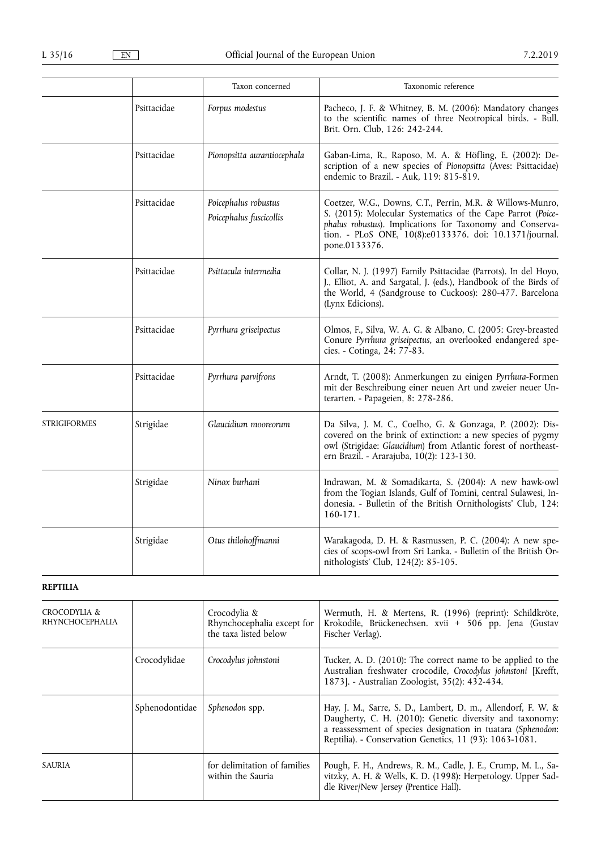|                 |             | Taxon concerned                                 | Taxonomic reference                                                                                                                                                                                                                                               |
|-----------------|-------------|-------------------------------------------------|-------------------------------------------------------------------------------------------------------------------------------------------------------------------------------------------------------------------------------------------------------------------|
|                 | Psittacidae | Forpus modestus                                 | Pacheco, J. F. & Whitney, B. M. (2006): Mandatory changes<br>to the scientific names of three Neotropical birds. - Bull.<br>Brit. Orn. Club, 126: 242-244.                                                                                                        |
|                 | Psittacidae | Pionopsitta aurantiocephala                     | Gaban-Lima, R., Raposo, M. A. & Höfling, E. (2002): De-<br>scription of a new species of Pionopsitta (Aves: Psittacidae)<br>endemic to Brazil. - Auk, 119: 815-819.                                                                                               |
|                 | Psittacidae | Poicephalus robustus<br>Poicephalus fuscicollis | Coetzer, W.G., Downs, C.T., Perrin, M.R. & Willows-Munro,<br>S. (2015): Molecular Systematics of the Cape Parrot (Poice-<br>phalus robustus). Implications for Taxonomy and Conserva-<br>tion. - PLoS ONE, 10(8):e0133376. doi: 10.1371/journal.<br>pone.0133376. |
|                 | Psittacidae | Psittacula intermedia                           | Collar, N. J. (1997) Family Psittacidae (Parrots). In del Hoyo,<br>J., Elliot, A. and Sargatal, J. (eds.), Handbook of the Birds of<br>the World, 4 (Sandgrouse to Cuckoos): 280-477. Barcelona<br>(Lynx Edicions).                                               |
|                 | Psittacidae | Pyrrhura griseipectus                           | Olmos, F., Silva, W. A. G. & Albano, C. (2005: Grey-breasted<br>Conure Pyrrhura griseipectus, an overlooked endangered spe-<br>cies. - Cotinga, 24: 77-83.                                                                                                        |
|                 | Psittacidae | Pyrrhura parvifrons                             | Arndt, T. (2008): Anmerkungen zu einigen Pyrrhura-Formen<br>mit der Beschreibung einer neuen Art und zweier neuer Un-<br>terarten. - Papageien, 8: 278-286.                                                                                                       |
| STRIGIFORMES    | Strigidae   | Glaucidium mooreorum                            | Da Silva, J. M. C., Coelho, G. & Gonzaga, P. (2002): Dis-<br>covered on the brink of extinction: a new species of pygmy<br>owl (Strigidae: Glaucidium) from Atlantic forest of northeast-<br>ern Brazil. - Ararajuba, 10(2): 123-130.                             |
|                 | Strigidae   | Ninox burhani                                   | Indrawan, M. & Somadikarta, S. (2004): A new hawk-owl<br>from the Togian Islands, Gulf of Tomini, central Sulawesi, In-<br>donesia. - Bulletin of the British Ornithologists' Club, 124:<br>160-171.                                                              |
|                 | Strigidae   | Otus thilohoffmanni                             | Warakagoda, D. H. & Rasmussen, P. C. (2004): A new spe-<br>cies of scops-owl from Sri Lanka. - Bulletin of the British Or-<br>nithologists' Club, 124(2): 85-105.                                                                                                 |
| <b>REPTILIA</b> |             |                                                 |                                                                                                                                                                                                                                                                   |
| CROCODYLIA &    |             | Crocodylia &                                    | Wermuth, H. & Mertens, R. (1996) (reprint): Schildkröte,                                                                                                                                                                                                          |

| CROCODYLIA &<br>RHYNCHOCEPHALIA |                | Crocodylia &<br>Rhynchocephalia except for<br>the taxa listed below | Wermuth, H. & Mertens, R. (1996) (reprint): Schildkröte,<br>Krokodile, Brückenechsen. xvii + 506 pp. Jena (Gustav<br>Fischer Verlag).                                                                                                               |
|---------------------------------|----------------|---------------------------------------------------------------------|-----------------------------------------------------------------------------------------------------------------------------------------------------------------------------------------------------------------------------------------------------|
|                                 | Crocodylidae   | Crocodylus johnstoni                                                | Tucker, A. D. (2010): The correct name to be applied to the<br>Australian freshwater crocodile, Crocodylus johnstoni [Krefft,<br>1873]. - Australian Zoologist, 35(2): 432-434.                                                                     |
|                                 | Sphenodontidae | Sphenodon spp.                                                      | Hay, J. M., Sarre, S. D., Lambert, D. m., Allendorf, F. W. &<br>Daugherty, C. H. (2010): Genetic diversity and taxonomy:<br>a reassessment of species designation in tuatara (Sphenodon:<br>Reptilia). - Conservation Genetics, 11 (93): 1063-1081. |
| <b>SAURIA</b>                   |                | for delimitation of families<br>within the Sauria                   | Pough, F. H., Andrews, R. M., Cadle, J. E., Crump, M. L., Sa-<br>vitzky, A. H. & Wells, K. D. (1998): Herpetology. Upper Sad-<br>dle River/New Jersey (Prentice Hall).                                                                              |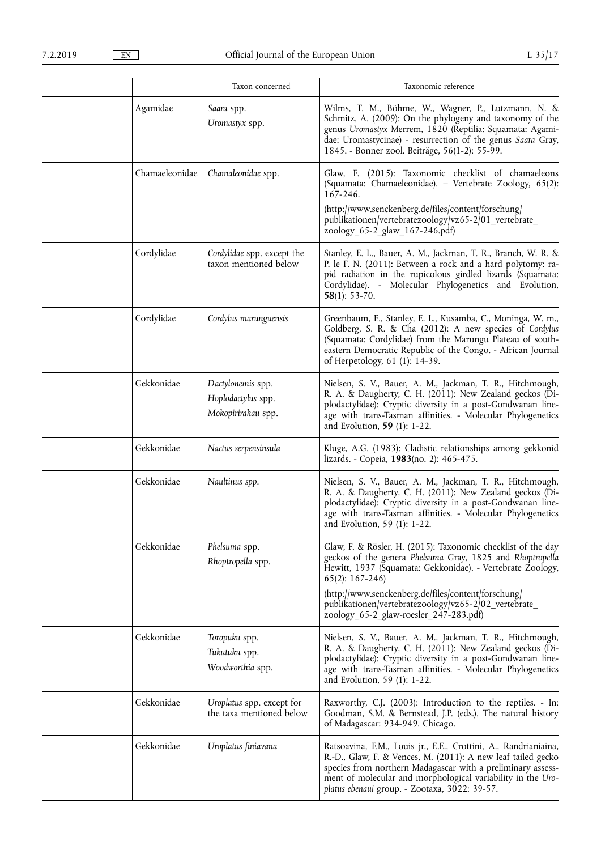|                | Taxon concerned                                               | Taxonomic reference                                                                                                                                                                                                                                                                                                           |
|----------------|---------------------------------------------------------------|-------------------------------------------------------------------------------------------------------------------------------------------------------------------------------------------------------------------------------------------------------------------------------------------------------------------------------|
| Agamidae       | Saara spp.<br>Uromastyx spp.                                  | Wilms, T. M., Böhme, W., Wagner, P., Lutzmann, N. &<br>Schmitz, A. (2009): On the phylogeny and taxonomy of the<br>genus Uromastyx Merrem, 1820 (Reptilia: Squamata: Agami-<br>dae: Uromastycinae) - resurrection of the genus Saara Gray,<br>1845. - Bonner zool. Beiträge, 56(1-2): 55-99.                                  |
| Chamaeleonidae | Chamaleonidae spp.                                            | Glaw, F. (2015): Taxonomic checklist of chamaeleons<br>(Squamata: Chamaeleonidae). - Vertebrate Zoology, 65(2):<br>167-246.                                                                                                                                                                                                   |
|                |                                                               | (http://www.senckenberg.de/files/content/forschung/<br>publikationen/vertebratezoology/vz65-2/01_vertebrate_<br>zoology_65-2_glaw_167-246.pdf)                                                                                                                                                                                |
| Cordylidae     | Cordylidae spp. except the<br>taxon mentioned below           | Stanley, E. L., Bauer, A. M., Jackman, T. R., Branch, W. R. &<br>P. le F. N. (2011): Between a rock and a hard polytomy: ra-<br>pid radiation in the rupicolous girdled lizards (Squamata:<br>Cordylidae). - Molecular Phylogenetics and Evolution,<br>$58(1): 53-70.$                                                        |
| Cordylidae     | Cordylus marunguensis                                         | Greenbaum, E., Stanley, E. L., Kusamba, C., Moninga, W. m.,<br>Goldberg, S. R. & Cha (2012): A new species of Cordylus<br>(Squamata: Cordylidae) from the Marungu Plateau of south-<br>eastern Democratic Republic of the Congo. - African Journal<br>of Herpetology, 61 (1): 14-39.                                          |
| Gekkonidae     | Dactylonemis spp.<br>Hoplodactylus spp.<br>Mokopirirakau spp. | Nielsen, S. V., Bauer, A. M., Jackman, T. R., Hitchmough,<br>R. A. & Daugherty, C. H. (2011): New Zealand geckos (Di-<br>plodactylidae): Cryptic diversity in a post-Gondwanan line-<br>age with trans-Tasman affinities. - Molecular Phylogenetics<br>and Evolution, 59 (1): 1-22.                                           |
| Gekkonidae     | Nactus serpensinsula                                          | Kluge, A.G. (1983): Cladistic relationships among gekkonid<br>lizards. - Copeia, 1983(no. 2): 465-475.                                                                                                                                                                                                                        |
| Gekkonidae     | Naultinus spp.                                                | Nielsen, S. V., Bauer, A. M., Jackman, T. R., Hitchmough,<br>R. A. & Daugherty, C. H. (2011): New Zealand geckos (Di-<br>plodactylidae): Cryptic diversity in a post-Gondwanan line-<br>age with trans-Tasman affinities. - Molecular Phylogenetics<br>and Evolution, 59 (1): 1-22.                                           |
| Gekkonidae     | Phelsuma spp.<br>Rhoptropella spp.                            | Glaw, F. & Rösler, H. (2015): Taxonomic checklist of the day<br>geckos of the genera Phelsuma Gray, 1825 and Rhoptropella<br>Hewitt, 1937 (Squamata: Gekkonidae). - Vertebrate Zoology,<br>$65(2): 167-246$<br>(http://www.senckenberg.de/files/content/forschung/<br>publikationen/vertebratezoology/vz65-2/02_vertebrate_   |
| Gekkonidae     | Toropuku spp.<br>Tukutuku spp.<br>Woodworthia spp.            | zoology_65-2_glaw-roesler_247-283.pdf)<br>Nielsen, S. V., Bauer, A. M., Jackman, T. R., Hitchmough,<br>R. A. & Daugherty, C. H. (2011): New Zealand geckos (Di-<br>plodactylidae): Cryptic diversity in a post-Gondwanan line-<br>age with trans-Tasman affinities. - Molecular Phylogenetics<br>and Evolution, 59 (1): 1-22. |
| Gekkonidae     | Uroplatus spp. except for<br>the taxa mentioned below         | Raxworthy, C.J. (2003): Introduction to the reptiles. - In:<br>Goodman, S.M. & Bernstead, J.P. (eds.), The natural history<br>of Madagascar: 934-949. Chicago.                                                                                                                                                                |
| Gekkonidae     | Uroplatus finiavana                                           | Ratsoavina, F.M., Louis jr., E.E., Crottini, A., Randrianiaina,<br>R.-D., Glaw, F. & Vences, M. (2011): A new leaf tailed gecko<br>species from northern Madagascar with a preliminary assess-<br>ment of molecular and morphological variability in the Uro-<br>platus ebenaui group. - Zootaxa, 3022: 39-57.                |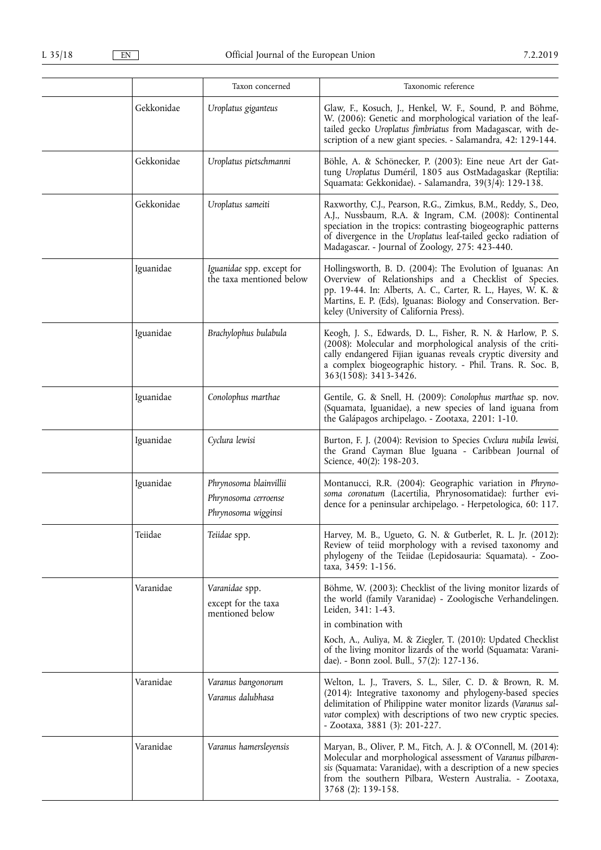|            | Taxon concerned                                                       | Taxonomic reference                                                                                                                                                                                                                                                                                                                                   |
|------------|-----------------------------------------------------------------------|-------------------------------------------------------------------------------------------------------------------------------------------------------------------------------------------------------------------------------------------------------------------------------------------------------------------------------------------------------|
| Gekkonidae | Uroplatus giganteus                                                   | Glaw, F., Kosuch, J., Henkel, W. F., Sound, P. and Böhme,<br>W. (2006): Genetic and morphological variation of the leaf-<br>tailed gecko Uroplatus fimbriatus from Madagascar, with de-<br>scription of a new giant species. - Salamandra, 42: 129-144.                                                                                               |
| Gekkonidae | Uroplatus pietschmanni                                                | Böhle, A. & Schönecker, P. (2003): Eine neue Art der Gat-<br>tung Uroplatus Duméril, 1805 aus OstMadagaskar (Reptilia:<br>Squamata: Gekkonidae). - Salamandra, 39(3/4): 129-138.                                                                                                                                                                      |
| Gekkonidae | Uroplatus sameiti                                                     | Raxworthy, C.J., Pearson, R.G., Zimkus, B.M., Reddy, S., Deo,<br>A.J., Nussbaum, R.A. & Ingram, C.M. (2008): Continental<br>speciation in the tropics: contrasting biogeographic patterns<br>of divergence in the Uroplatus leaf-tailed gecko radiation of<br>Madagascar. - Journal of Zoology, 275: 423-440.                                         |
| Iguanidae  | Iguanidae spp. except for<br>the taxa mentioned below                 | Hollingsworth, B. D. (2004): The Evolution of Iguanas: An<br>Overview of Relationships and a Checklist of Species.<br>pp. 19-44. In: Alberts, A. C., Carter, R. L., Hayes, W. K. &<br>Martins, E. P. (Eds), Iguanas: Biology and Conservation. Ber-<br>keley (University of California Press).                                                        |
| Iguanidae  | Brachylophus bulabula                                                 | Keogh, J. S., Edwards, D. L., Fisher, R. N. & Harlow, P. S.<br>(2008): Molecular and morphological analysis of the criti-<br>cally endangered Fijian iguanas reveals cryptic diversity and<br>a complex biogeographic history. - Phil. Trans. R. Soc. B,<br>363(1508): 3413-3426.                                                                     |
| Iguanidae  | Conolophus marthae                                                    | Gentile, G. & Snell, H. (2009): Conolophus marthae sp. nov.<br>(Squamata, Iguanidae), a new species of land iguana from<br>the Galápagos archipelago. - Zootaxa, 2201: 1-10.                                                                                                                                                                          |
| Iguanidae  | Cyclura lewisi                                                        | Burton, F. J. (2004): Revision to Species Cvclura nubila lewisi,<br>the Grand Cayman Blue Iguana - Caribbean Journal of<br>Science, 40(2): 198-203.                                                                                                                                                                                                   |
| Iguanidae  | Phrynosoma blainvillii<br>Phrynosoma cerroense<br>Phrynosoma wigginsi | Montanucci, R.R. (2004): Geographic variation in Phryno-<br>soma coronatum (Lacertilia, Phrynosomatidae): further evi-<br>dence for a peninsular archipelago. - Herpetologica, 60: 117.                                                                                                                                                               |
| Teiidae    | Teiidae spp.                                                          | Harvey, M. B., Ugueto, G. N. & Gutberlet, R. L. Jr. (2012):<br>Review of teiid morphology with a revised taxonomy and<br>phylogeny of the Teiidae (Lepidosauria: Squamata). - Zoo-<br>taxa, 3459: 1-156.                                                                                                                                              |
| Varanidae  | Varanidae spp.<br>except for the taxa<br>mentioned below              | Böhme, W. (2003): Checklist of the living monitor lizards of<br>the world (family Varanidae) - Zoologische Verhandelingen.<br>Leiden, 341: 1-43.<br>in combination with<br>Koch, A., Auliya, M. & Ziegler, T. (2010): Updated Checklist<br>of the living monitor lizards of the world (Squamata: Varani-<br>dae). - Bonn zool. Bull., 57(2): 127-136. |
| Varanidae  | Varanus bangonorum<br>Varanus dalubhasa                               | Welton, L. J., Travers, S. L., Siler, C. D. & Brown, R. M.<br>(2014): Integrative taxonomy and phylogeny-based species<br>delimitation of Philippine water monitor lizards (Varanus sal-<br>vator complex) with descriptions of two new cryptic species.<br>- Zootaxa, 3881 (3): 201-227.                                                             |
| Varanidae  | Varanus hamersleyensis                                                | Maryan, B., Oliver, P. M., Fitch, A. J. & O'Connell, M. (2014):<br>Molecular and morphological assessment of Varanus pilbaren-<br>sis (Squamata: Varanidae), with a description of a new species<br>from the southern Pilbara, Western Australia. - Zootaxa,<br>3768 (2): 139-158.                                                                    |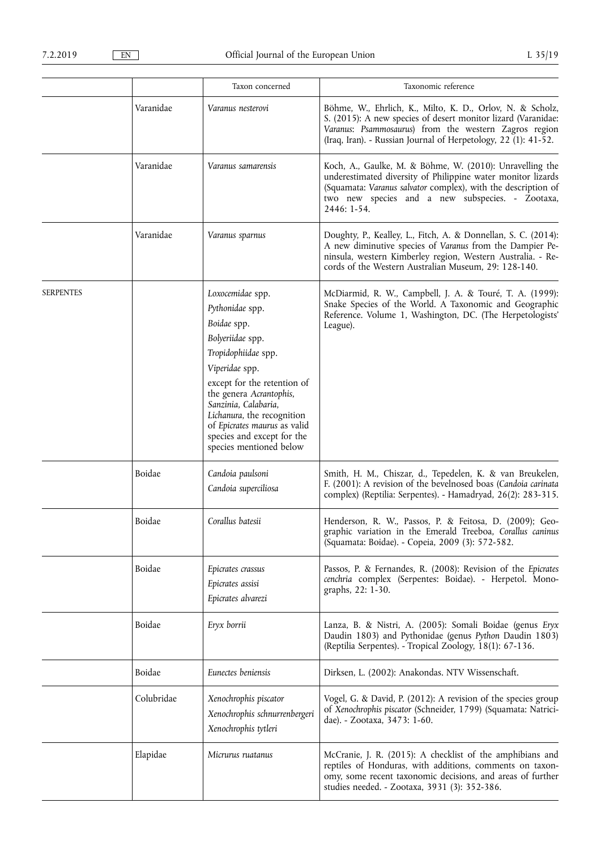|                  |            | Taxon concerned                                                                                                                                                                                                                                                                                                          | Taxonomic reference                                                                                                                                                                                                                                          |
|------------------|------------|--------------------------------------------------------------------------------------------------------------------------------------------------------------------------------------------------------------------------------------------------------------------------------------------------------------------------|--------------------------------------------------------------------------------------------------------------------------------------------------------------------------------------------------------------------------------------------------------------|
|                  | Varanidae  | Varanus nesterovi                                                                                                                                                                                                                                                                                                        | Böhme, W., Ehrlich, K., Milto, K. D., Orlov, N. & Scholz,<br>S. (2015): A new species of desert monitor lizard (Varanidae:<br>Varanus: Psammosaurus) from the western Zagros region<br>(Iraq, Iran). - Russian Journal of Herpetology, 22 (1): 41-52.        |
|                  | Varanidae  | Varanus samarensis                                                                                                                                                                                                                                                                                                       | Koch, A., Gaulke, M. & Böhme, W. (2010): Unravelling the<br>underestimated diversity of Philippine water monitor lizards<br>(Squamata: Varanus salvator complex), with the description of<br>two new species and a new subspecies. - Zootaxa,<br>2446: 1-54. |
|                  | Varanidae  | Varanus sparnus                                                                                                                                                                                                                                                                                                          | Doughty, P., Kealley, L., Fitch, A. & Donnellan, S. C. (2014):<br>A new diminutive species of Varanus from the Dampier Pe-<br>ninsula, western Kimberley region, Western Australia. - Re-<br>cords of the Western Australian Museum, 29: 128-140.            |
| <b>SERPENTES</b> |            | Loxocemidae spp.<br>Pythonidae spp.<br>Boidae spp.<br>Bolyeriidae spp.<br>Tropidophiidae spp.<br>Viperidae spp.<br>except for the retention of<br>the genera Acrantophis,<br>Sanzinia, Calabaria,<br>Lichanura, the recognition<br>of Epicrates maurus as valid<br>species and except for the<br>species mentioned below | McDiarmid, R. W., Campbell, J. A. & Touré, T. A. (1999):<br>Snake Species of the World. A Taxonomic and Geographic<br>Reference. Volume 1, Washington, DC. (The Herpetologists'<br>League).                                                                  |
|                  | Boidae     | Candoia paulsoni<br>Candoia superciliosa                                                                                                                                                                                                                                                                                 | Smith, H. M., Chiszar, d., Tepedelen, K. & van Breukelen,<br>F. (2001): A revision of the bevelnosed boas (Candoia carinata<br>complex) (Reptilia: Serpentes). - Hamadryad, 26(2): 283-315.                                                                  |
|                  | Boidae     | Corallus batesii                                                                                                                                                                                                                                                                                                         | Henderson, R. W., Passos, P. & Feitosa, D. (2009); Geo-<br>graphic variation in the Emerald Treeboa, Corallus caninus<br>(Squamata: Boidae). - Copeia, 2009 (3): 572-582.                                                                                    |
|                  | Boidae     | Epicrates crassus<br>Epicrates assisi<br>Epicrates alvarezi                                                                                                                                                                                                                                                              | Passos, P. & Fernandes, R. (2008): Revision of the Epicrates<br>cenchria complex (Serpentes: Boidae). - Herpetol. Mono-<br>graphs, 22: 1-30.                                                                                                                 |
|                  | Boidae     | Eryx borrii                                                                                                                                                                                                                                                                                                              | Lanza, B. & Nistri, A. (2005): Somali Boidae (genus Eryx<br>Daudin 1803) and Pythonidae (genus Python Daudin 1803)<br>(Reptilia Serpentes). - Tropical Zoology, 18(1): 67-136.                                                                               |
|                  | Boidae     | Eunectes beniensis                                                                                                                                                                                                                                                                                                       | Dirksen, L. (2002): Anakondas. NTV Wissenschaft.                                                                                                                                                                                                             |
|                  | Colubridae | Xenochrophis piscator<br>Xenochrophis schnurrenbergeri<br>Xenochrophis tytleri                                                                                                                                                                                                                                           | Vogel, G. & David, P. (2012): A revision of the species group<br>of Xenochrophis piscator (Schneider, 1799) (Squamata: Natrici-<br>dae). - Zootaxa, 3473: 1-60.                                                                                              |
|                  | Elapidae   | Micrurus ruatanus                                                                                                                                                                                                                                                                                                        | McCranie, J. R. (2015): A checklist of the amphibians and<br>reptiles of Honduras, with additions, comments on taxon-<br>omy, some recent taxonomic decisions, and areas of further<br>studies needed. - Zootaxa, 3931 (3): 352-386.                         |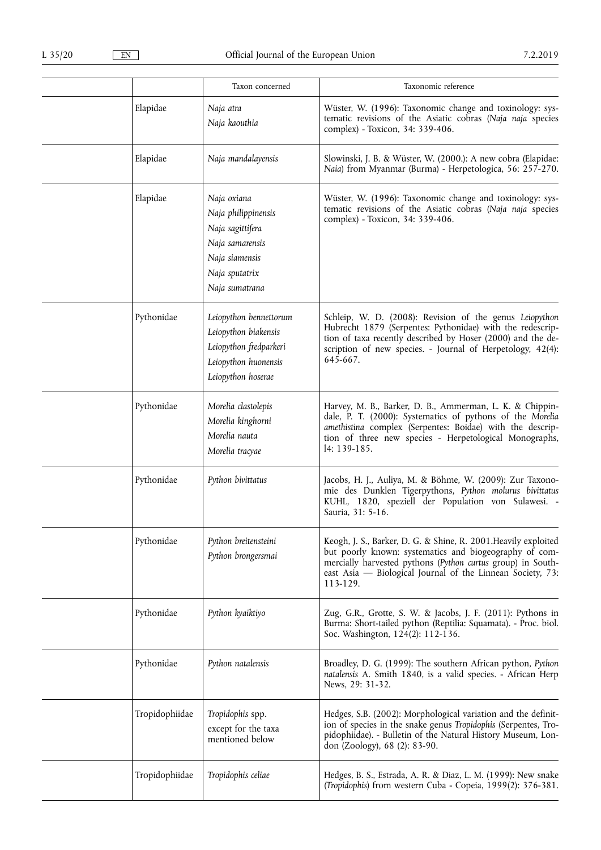|                | Taxon concerned                                                                                                                 | Taxonomic reference                                                                                                                                                                                                                                                |
|----------------|---------------------------------------------------------------------------------------------------------------------------------|--------------------------------------------------------------------------------------------------------------------------------------------------------------------------------------------------------------------------------------------------------------------|
| Elapidae       | Naja atra<br>Naja kaouthia                                                                                                      | Wüster, W. (1996): Taxonomic change and toxinology: sys-<br>tematic revisions of the Asiatic cobras (Naja naja species<br>complex) - Toxicon, 34: 339-406.                                                                                                         |
| Elapidae       | Naja mandalayensis                                                                                                              | Slowinski, J. B. & Wüster, W. (2000.): A new cobra (Elapidae:<br>Naia) from Myanmar (Burma) - Herpetologica, 56: 257-270.                                                                                                                                          |
| Elapidae       | Naja oxiana<br>Naja philippinensis<br>Naja sagittifera<br>Naja samarensis<br>Naja siamensis<br>Naja sputatrix<br>Naja sumatrana | Wüster, W. (1996): Taxonomic change and toxinology: sys-<br>tematic revisions of the Asiatic cobras (Naja naja species<br>complex) - Toxicon, 34: 339-406.                                                                                                         |
| Pythonidae     | Leiopython bennettorum<br>Leiopython biakensis<br>Leiopython fredparkeri<br>Leiopython huonensis<br>Leiopython hoserae          | Schleip, W. D. (2008): Revision of the genus Leiopython<br>Hubrecht 1879 (Serpentes: Pythonidae) with the redescrip-<br>tion of taxa recently described by Hoser (2000) and the de-<br>scription of new species. - Journal of Herpetology, 42(4):<br>645-667.      |
| Pythonidae     | Morelia clastolepis<br>Morelia kinghorni<br>Morelia nauta<br>Morelia tracyae                                                    | Harvey, M. B., Barker, D. B., Ammerman, L. K. & Chippin-<br>dale, P. T. (2000): Systematics of pythons of the Morelia<br>amethistina complex (Serpentes: Boidae) with the descrip-<br>tion of three new species - Herpetological Monographs,<br>14: 139-185.       |
| Pythonidae     | Python bivittatus                                                                                                               | Jacobs, H. J., Auliya, M. & Böhme, W. (2009): Zur Taxono-<br>mie des Dunklen Tigerpythons, Python molurus bivittatus<br>KUHL, 1820, speziell der Population von Sulawesi. -<br>Sauria, 31: 5-16.                                                                   |
| Pythonidae     | Python breitensteini<br>Python brongersmai                                                                                      | Keogh, J. S., Barker, D. G. & Shine, R. 2001. Heavily exploited<br>but poorly known: systematics and biogeography of com-<br>mercially harvested pythons (Python curtus group) in South-<br>east Asia — Biological Journal of the Linnean Society, 73:<br>113-129. |
| Pythonidae     | Python kyaiktiyo                                                                                                                | Zug, G.R., Grotte, S. W. & Jacobs, J. F. (2011): Pythons in<br>Burma: Short-tailed python (Reptilia: Squamata). - Proc. biol.<br>Soc. Washington, 124(2): 112-136.                                                                                                 |
| Pythonidae     | Python natalensis                                                                                                               | Broadley, D. G. (1999): The southern African python, Python<br>natalensis A. Smith 1840, is a valid species. - African Herp<br>News, 29: 31-32.                                                                                                                    |
| Tropidophiidae | Tropidophis spp.<br>except for the taxa<br>mentioned below                                                                      | Hedges, S.B. (2002): Morphological variation and the definit-<br>ion of species in the snake genus Tropidophis (Serpentes, Tro-<br>pidophiidae). - Bulletin of the Natural History Museum, Lon-<br>don (Zoology), 68 (2): 83-90.                                   |
| Tropidophiidae | Tropidophis celiae                                                                                                              | Hedges, B. S., Estrada, A. R. & Diaz, L. M. (1999): New snake<br>(Tropidophis) from western Cuba - Copeia, 1999(2): 376-381.                                                                                                                                       |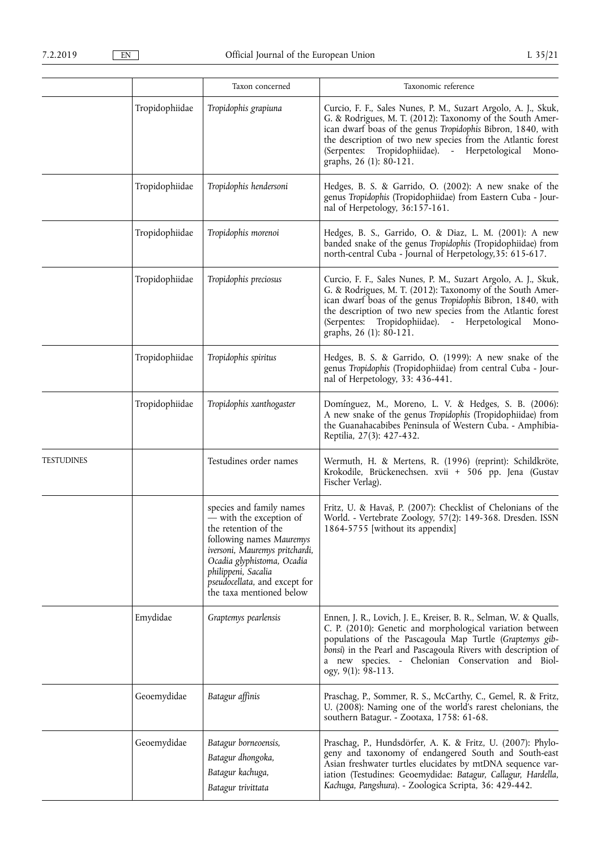|                   |                | Taxon concerned                                                                                                                                                                                                                                             | Taxonomic reference                                                                                                                                                                                                                                                                                                                               |
|-------------------|----------------|-------------------------------------------------------------------------------------------------------------------------------------------------------------------------------------------------------------------------------------------------------------|---------------------------------------------------------------------------------------------------------------------------------------------------------------------------------------------------------------------------------------------------------------------------------------------------------------------------------------------------|
|                   | Tropidophiidae | Tropidophis grapiuna                                                                                                                                                                                                                                        | Curcio, F. F., Sales Nunes, P. M., Suzart Argolo, A. J., Skuk,<br>G. & Rodrigues, M. T. (2012): Taxonomy of the South Amer-<br>ican dwarf boas of the genus Tropidophis Bibron, 1840, with<br>the description of two new species from the Atlantic forest<br>Tropidophiidae). - Herpetological<br>(Serpentes:<br>Mono-<br>graphs, 26 (1): 80-121. |
|                   | Tropidophiidae | Tropidophis hendersoni                                                                                                                                                                                                                                      | Hedges, B. S. & Garrido, O. (2002): A new snake of the<br>genus Tropidophis (Tropidophiidae) from Eastern Cuba - Jour-<br>nal of Herpetology, 36:157-161.                                                                                                                                                                                         |
|                   | Tropidophiidae | Tropidophis morenoi                                                                                                                                                                                                                                         | Hedges, B. S., Garrido, O. & Diaz, L. M. (2001): A new<br>banded snake of the genus Tropidophis (Tropidophiidae) from<br>north-central Cuba - Journal of Herpetology, 35: 615-617.                                                                                                                                                                |
|                   | Tropidophiidae | Tropidophis preciosus                                                                                                                                                                                                                                       | Curcio, F. F., Sales Nunes, P. M., Suzart Argolo, A. J., Skuk,<br>G. & Rodrigues, M. T. (2012): Taxonomy of the South Amer-<br>ican dwarf boas of the genus Tropidophis Bibron, 1840, with<br>the description of two new species from the Atlantic forest<br>(Serpentes: Tropidophiidae). - Herpetological<br>Mono-<br>graphs, 26 (1): 80-121.    |
|                   | Tropidophiidae | Tropidophis spiritus                                                                                                                                                                                                                                        | Hedges, B. S. & Garrido, O. (1999): A new snake of the<br>genus Tropidophis (Tropidophiidae) from central Cuba - Jour-<br>nal of Herpetology, 33: 436-441.                                                                                                                                                                                        |
|                   | Tropidophiidae | Tropidophis xanthogaster                                                                                                                                                                                                                                    | Domínguez, M., Moreno, L. V. & Hedges, S. B. (2006):<br>A new snake of the genus Tropidophis (Tropidophiidae) from<br>the Guanahacabibes Peninsula of Western Cuba. - Amphibia-<br>Reptilia, 27(3): 427-432.                                                                                                                                      |
| <b>TESTUDINES</b> |                | Testudines order names                                                                                                                                                                                                                                      | Wermuth, H. & Mertens, R. (1996) (reprint): Schildkröte,<br>Krokodile, Brückenechsen. xvii + 506 pp. Jena (Gustav<br>Fischer Verlag).                                                                                                                                                                                                             |
|                   |                | species and family names<br>- with the exception of<br>the retention of the<br>following names Mauremys<br>iversoni, Mauremys pritchardi,<br>Ocadia glyphistoma, Ocadia<br>philippeni, Sacalia<br>pseudocellata, and except for<br>the taxa mentioned below | Fritz, U. & Havaš, P. (2007): Checklist of Chelonians of the<br>World. - Vertebrate Zoology, 57(2): 149-368. Dresden. ISSN<br>1864-5755 [without its appendix]                                                                                                                                                                                    |
|                   | Emydidae       | Graptemys pearlensis                                                                                                                                                                                                                                        | Ennen, J. R., Lovich, J. E., Kreiser, B. R., Selman, W. & Qualls,<br>C. P. (2010): Genetic and morphological variation between<br>populations of the Pascagoula Map Turtle (Graptemys gib-<br>bonsi) in the Pearl and Pascagoula Rivers with description of<br>a new species. - Chelonian Conservation and Biol-<br>ogy, 9(1): 98-113.            |
|                   | Geoemydidae    | Batagur affinis                                                                                                                                                                                                                                             | Praschag, P., Sommer, R. S., McCarthy, C., Gemel, R. & Fritz,<br>U. (2008): Naming one of the world's rarest chelonians, the<br>southern Batagur. - Zootaxa, 1758: 61-68.                                                                                                                                                                         |
|                   | Geoemydidae    | Batagur borneoensis,<br>Batagur dhongoka,<br>Batagur kachuga,<br>Batagur trivittata                                                                                                                                                                         | Praschag, P., Hundsdörfer, A. K. & Fritz, U. (2007): Phylo-<br>geny and taxonomy of endangered South and South-east<br>Asian freshwater turtles elucidates by mtDNA sequence var-<br>iation (Testudines: Geoemydidae: Batagur, Callagur, Hardella,<br>Kachuga, Pangshura). - Zoologica Scripta, 36: 429-442.                                      |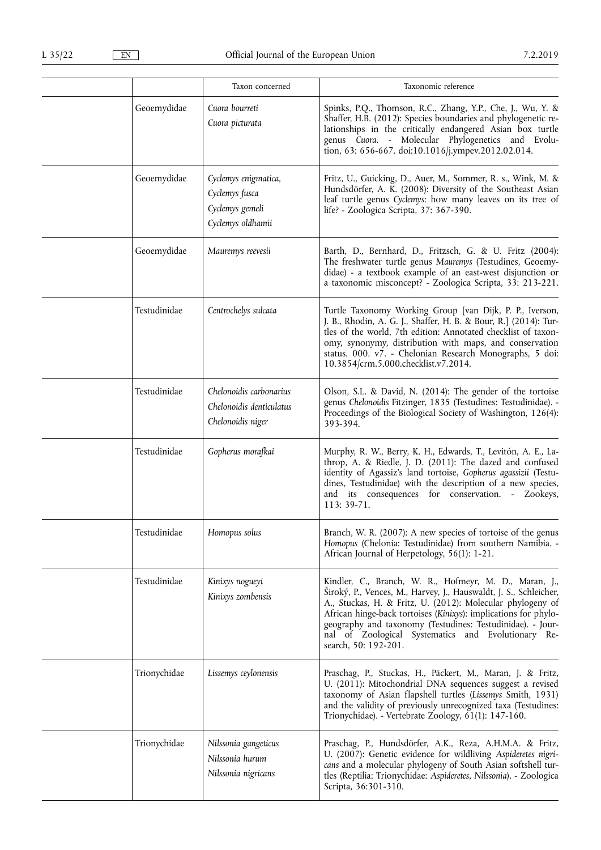|              | Taxon concerned                                                                | Taxonomic reference                                                                                                                                                                                                                                                                                                                                                                                      |
|--------------|--------------------------------------------------------------------------------|----------------------------------------------------------------------------------------------------------------------------------------------------------------------------------------------------------------------------------------------------------------------------------------------------------------------------------------------------------------------------------------------------------|
| Geoemydidae  | Cuora bourreti<br>Cuora picturata                                              | Spinks, P.Q., Thomson, R.C., Zhang, Y.P., Che, J., Wu, Y. &<br>Shaffer, H.B. (2012): Species boundaries and phylogenetic re-<br>lationships in the critically endangered Asian box turtle<br>genus Cuora. - Molecular Phylogenetics and Evolu-<br>tion, 63: 656-667. doi:10.1016/j.ympev.2012.02.014.                                                                                                    |
| Geoemydidae  | Cyclemys enigmatica,<br>Cyclemys fusca<br>Cyclemys gemeli<br>Cyclemys oldhamii | Fritz, U., Guicking, D., Auer, M., Sommer, R. s., Wink, M. &<br>Hundsdörfer, A. K. (2008): Diversity of the Southeast Asian<br>leaf turtle genus Cyclemys: how many leaves on its tree of<br>life? - Zoologica Scripta, 37: 367-390.                                                                                                                                                                     |
| Geoemydidae  | Mauremys reevesii                                                              | Barth, D., Bernhard, D., Fritzsch, G. & U. Fritz (2004):<br>The freshwater turtle genus Mauremys (Testudines, Geoemy-<br>didae) - a textbook example of an east-west disjunction or<br>a taxonomic misconcept? - Zoologica Scripta, 33: 213-221.                                                                                                                                                         |
| Testudinidae | Centrochelys sulcata                                                           | Turtle Taxonomy Working Group [van Dijk, P. P., Iverson,<br>J. B., Rhodin, A. G. J., Shaffer, H. B. & Bour, R.] (2014): Tur-<br>tles of the world, 7th edition: Annotated checklist of taxon-<br>omy, synonymy, distribution with maps, and conservation<br>status. 000. v7. - Chelonian Research Monographs, 5 doi:<br>10.3854/crm.5.000.checklist.v7.2014.                                             |
| Testudinidae | Chelonoidis carbonarius<br>Chelonoidis denticulatus<br>Chelonoidis niger       | Olson, S.L. & David, N. (2014): The gender of the tortoise<br>genus Chelonoidis Fitzinger, 1835 (Testudines: Testudinidae). -<br>Proceedings of the Biological Society of Washington, 126(4):<br>393-394.                                                                                                                                                                                                |
| Testudinidae | Gopherus morafkai                                                              | Murphy, R. W., Berry, K. H., Edwards, T., Levitón, A. E., La-<br>throp, A. & Riedle, J. D. (2011): The dazed and confused<br>identity of Agassiz's land tortoise, Gopherus agassizii (Testu-<br>dines, Testudinidae) with the description of a new species,<br>and its consequences for conservation. - Zookeys,<br>113: 39-71.                                                                          |
| Testudinidae | Homopus solus                                                                  | Branch, W. R. (2007): A new species of tortoise of the genus<br>Homopus (Chelonia: Testudinidae) from southern Namibia. -<br>African Journal of Herpetology, 56(1): 1-21.                                                                                                                                                                                                                                |
| Testudinidae | Kinixys nogueyi<br>Kinixys zombensis                                           | Kindler, C., Branch, W. R., Hofmeyr, M. D., Maran, J.,<br>Široký, P., Vences, M., Harvey, J., Hauswaldt, J. S., Schleicher,<br>A., Stuckas, H. & Fritz, U. (2012): Molecular phylogeny of<br>African hinge-back tortoises (Kinixys): implications for phylo-<br>geography and taxonomy (Testudines: Testudinidae). - Jour-<br>nal of Zoological Systematics and Evolutionary Re-<br>search, 50: 192-201. |
| Trionychidae | Lissemys ceylonensis                                                           | Praschag, P., Stuckas, H., Päckert, M., Maran, J. & Fritz,<br>U. (2011): Mitochondrial DNA sequences suggest a revised<br>taxonomy of Asian flapshell turtles (Lissemys Smith, 1931)<br>and the validity of previously unrecognized taxa (Testudines:<br>Trionychidae). - Vertebrate Zoology, 61(1): 147-160.                                                                                            |
| Trionychidae | Nilssonia gangeticus<br>Nilssonia hurum<br>Nilssonia nigricans                 | Praschag, P., Hundsdörfer, A.K., Reza, A.H.M.A. & Fritz,<br>U. (2007): Genetic evidence for wildliving Aspideretes nigri-<br>cans and a molecular phylogeny of South Asian softshell tur-<br>tles (Reptilia: Trionychidae: Aspideretes, Nilssonia). - Zoologica<br>Scripta, 36:301-310.                                                                                                                  |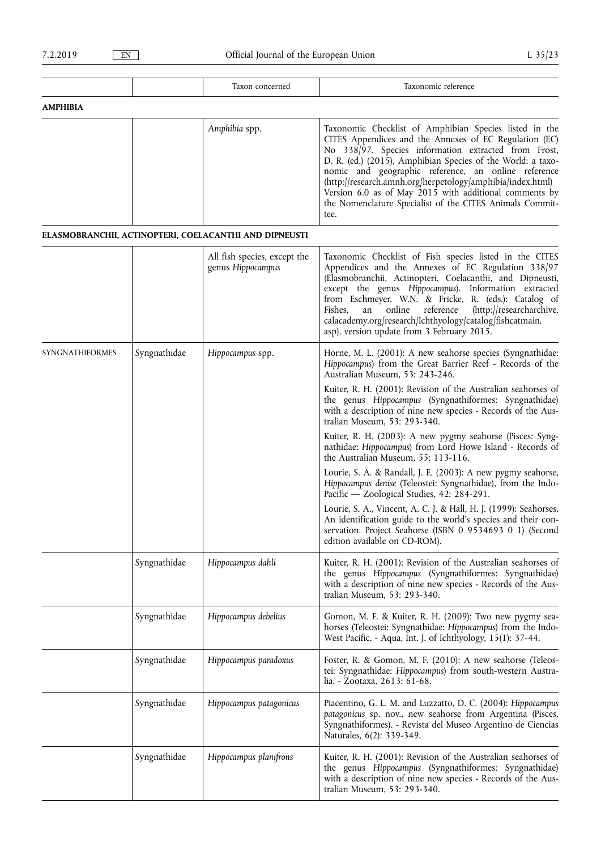|                        |              | Taxon concerned                                        | Taxonomic reference                                                                                                                                                                                                                                                                                                                                                                                                                                                                        |
|------------------------|--------------|--------------------------------------------------------|--------------------------------------------------------------------------------------------------------------------------------------------------------------------------------------------------------------------------------------------------------------------------------------------------------------------------------------------------------------------------------------------------------------------------------------------------------------------------------------------|
| AMPHIBIA               |              |                                                        |                                                                                                                                                                                                                                                                                                                                                                                                                                                                                            |
|                        |              | Amphibia spp.                                          | Taxonomic Checklist of Amphibian Species listed in the<br>CITES Appendices and the Annexes of EC Regulation (EC)<br>No 338/97. Species information extracted from Frost,<br>D. R. (ed.) (2015), Amphibian Species of the World: a taxo-<br>nomic and geographic reference, an online reference<br>(http://research.amnh.org/herpetology/amphibia/index.html)<br>Version 6.0 as of May 2015 with additional comments by<br>the Nomenclature Specialist of the CITES Animals Commit-<br>tee. |
|                        |              | ELASMOBRANCHII, ACTINOPTERI, COELACANTHI AND DIPNEUSTI |                                                                                                                                                                                                                                                                                                                                                                                                                                                                                            |
|                        |              | All fish species, except the<br>genus Hippocampus      | Taxonomic Checklist of Fish species listed in the CITES<br>Appendices and the Annexes of EC Regulation 338/97<br>(Elasmobranchii, Actinopteri, Coelacanthi, and Dipneusti,<br>except the genus Hippocampus). Information extracted<br>from Eschmeyer, W.N. & Fricke, R. (eds.): Catalog of<br>reference<br>Fishes,<br>an<br>online<br>(http://researcharchive.<br>calacademy.org/research/Ichthyology/catalog/fishcatmain.<br>asp), version update from 3 February 2015.                   |
| <b>SYNGNATHIFORMES</b> | Syngnathidae | Hippocampus spp.                                       | Horne, M. L. (2001): A new seahorse species (Syngnathidae:<br>Hippocampus) from the Great Barrier Reef - Records of the<br>Australian Museum, 53: 243-246.                                                                                                                                                                                                                                                                                                                                 |
|                        |              |                                                        | Kuiter, R. H. (2001): Revision of the Australian seahorses of<br>the genus Hippocampus (Syngnathiformes: Syngnathidae)<br>with a description of nine new species - Records of the Aus-<br>tralian Museum, 53: 293-340.                                                                                                                                                                                                                                                                     |
|                        |              |                                                        | Kuiter, R. H. (2003): A new pygmy seahorse (Pisces: Syng-<br>nathidae: Hippocampus) from Lord Howe Island - Records of<br>the Australian Museum, 55: 113-116.                                                                                                                                                                                                                                                                                                                              |
|                        |              |                                                        | Lourie, S. A. & Randall, J. E. (2003): A new pygmy seahorse,<br>Hippocampus denise (Teleostei: Syngnathidae), from the Indo-<br>Pacific — Zoological Studies, 42: 284-291.                                                                                                                                                                                                                                                                                                                 |
|                        |              |                                                        | Lourie, S. A., Vincent, A. C. J. & Hall, H. J. (1999): Seahorses.<br>An identification guide to the world's species and their con-<br>servation. Project Seahorse (ISBN 0 9534693 0 1) (Second<br>edition available on CD-ROM).                                                                                                                                                                                                                                                            |
|                        | Syngnathidae | Hippocampus dahli                                      | Kuiter, R. H. (2001): Revision of the Australian seahorses of<br>the genus Hippocampus (Syngnathiformes: Syngnathidae)<br>with a description of nine new species - Records of the Aus-<br>tralian Museum, 53: 293-340.                                                                                                                                                                                                                                                                     |
|                        | Syngnathidae | Hippocampus debelius                                   | Gomon, M. F. & Kuiter, R. H. (2009): Two new pygmy sea-<br>horses (Teleostei: Syngnathidae: Hippocampus) from the Indo-<br>West Pacific. - Aqua, Int. J. of Ichthyology, 15(1): 37-44.                                                                                                                                                                                                                                                                                                     |
|                        | Syngnathidae | Hippocampus paradoxus                                  | Foster, R. & Gomon, M. F. (2010): A new seahorse (Teleos-<br>tei: Syngnathidae: Hippocampus) from south-western Austra-<br>lia. - Zootaxa, 2613: 61-68.                                                                                                                                                                                                                                                                                                                                    |
|                        | Syngnathidae | Hippocampus patagonicus                                | Piacentino, G. L. M. and Luzzatto, D. C. (2004): Hippocampus<br>patagonicus sp. nov., new seahorse from Argentina (Pisces,<br>Syngnathiformes). - Revista del Museo Argentino de Ciencias<br>Naturales, 6(2): 339-349.                                                                                                                                                                                                                                                                     |
|                        | Syngnathidae | Hippocampus planifrons                                 | Kuiter, R. H. (2001): Revision of the Australian seahorses of<br>the genus Hippocampus (Syngnathiformes: Syngnathidae)<br>with a description of nine new species - Records of the Aus-<br>tralian Museum, 53: 293-340.                                                                                                                                                                                                                                                                     |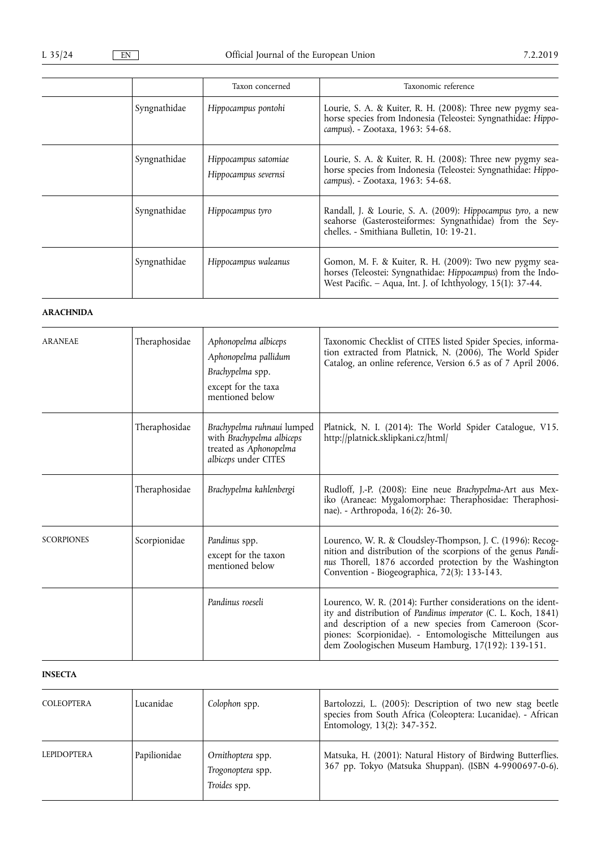|              | Taxon concerned                              | Taxonomic reference                                                                                                                                                                    |
|--------------|----------------------------------------------|----------------------------------------------------------------------------------------------------------------------------------------------------------------------------------------|
| Syngnathidae | Hippocampus pontohi                          | Lourie, S. A. & Kuiter, R. H. (2008): Three new pygmy sea-<br>horse species from Indonesia (Teleostei: Syngnathidae: Hippo-<br>campus). - Zootaxa, 1963: 54-68.                        |
| Syngnathidae | Hippocampus satomiae<br>Hippocampus severnsi | Lourie, S. A. & Kuiter, R. H. (2008): Three new pygmy sea-<br>horse species from Indonesia (Teleostei: Syngnathidae: Hippo-<br>campus). - Zootaxa, 1963: 54-68.                        |
| Syngnathidae | Hippocampus tyro                             | Randall, J. & Lourie, S. A. (2009): Hippocampus tyro, a new<br>seahorse (Gasterosteiformes: Syngnathidae) from the Sey-<br>chelles. - Smithiana Bulletin, 10: 19-21.                   |
| Syngnathidae | Hippocampus waleanus                         | Gomon, M. F. & Kuiter, R. H. (2009): Two new pygmy sea-<br>horses (Teleostei: Syngnathidae: Hippocampus) from the Indo-<br>West Pacific. - Aqua, Int. J. of Ichthyology, 15(1): 37-44. |

# **ARACHNIDA**

| <b>ARANEAE</b>    | Theraphosidae | Aphonopelma albiceps<br>Aphonopelma pallidum<br>Brachypelma spp.<br>except for the taxa<br>mentioned below | Taxonomic Checklist of CITES listed Spider Species, informa-<br>tion extracted from Platnick, N. (2006), The World Spider<br>Catalog, an online reference, Version 6.5 as of 7 April 2006.                                                                                                               |
|-------------------|---------------|------------------------------------------------------------------------------------------------------------|----------------------------------------------------------------------------------------------------------------------------------------------------------------------------------------------------------------------------------------------------------------------------------------------------------|
|                   | Theraphosidae | Brachypelma ruhnaui lumped<br>with Brachypelma albiceps<br>treated as Aphonopelma<br>albiceps under CITES  | Platnick, N. I. (2014): The World Spider Catalogue, V15.<br>http://platnick.sklipkani.cz/html/                                                                                                                                                                                                           |
|                   | Theraphosidae | Brachypelma kahlenbergi                                                                                    | Rudloff, J.-P. (2008): Eine neue Brachypelma-Art aus Mex-<br>iko (Araneae: Mygalomorphae: Theraphosidae: Theraphosi-<br>nae). - Arthropoda, 16(2): 26-30.                                                                                                                                                |
| <b>SCORPIONES</b> | Scorpionidae  | Pandinus spp.<br>except for the taxon<br>mentioned below                                                   | Lourenco, W. R. & Cloudsley-Thompson, J. C. (1996): Recog-<br>nition and distribution of the scorpions of the genus Pandi-<br>nus Thorell, 1876 accorded protection by the Washington<br>Convention - Biogeographica, 72(3): 133-143.                                                                    |
|                   |               | Pandinus roeseli                                                                                           | Lourenco, W. R. (2014): Further considerations on the ident-<br>ity and distribution of Pandinus imperator (C. L. Koch, 1841)<br>and description of a new species from Cameroon (Scor-<br>piones: Scorpionidae). - Entomologische Mitteilungen aus<br>dem Zoologischen Museum Hamburg, 17(192): 139-151. |

# **INSECTA**

| <b>COLEOPTERA</b>  | Lucanidae    | Colophon spp.                                          | Bartolozzi, L. (2005): Description of two new stag beetle<br>species from South Africa (Coleoptera: Lucanidae). - African<br>Entomology, 13(2): 347-352. |
|--------------------|--------------|--------------------------------------------------------|----------------------------------------------------------------------------------------------------------------------------------------------------------|
| <b>LEPIDOPTERA</b> | Papilionidae | Ornithoptera spp.<br>Trogonoptera spp.<br>Troides spp. | Matsuka, H. (2001): Natural History of Birdwing Butterflies.<br>367 pp. Tokyo (Matsuka Shuppan). (ISBN 4-9900697-0-6).                                   |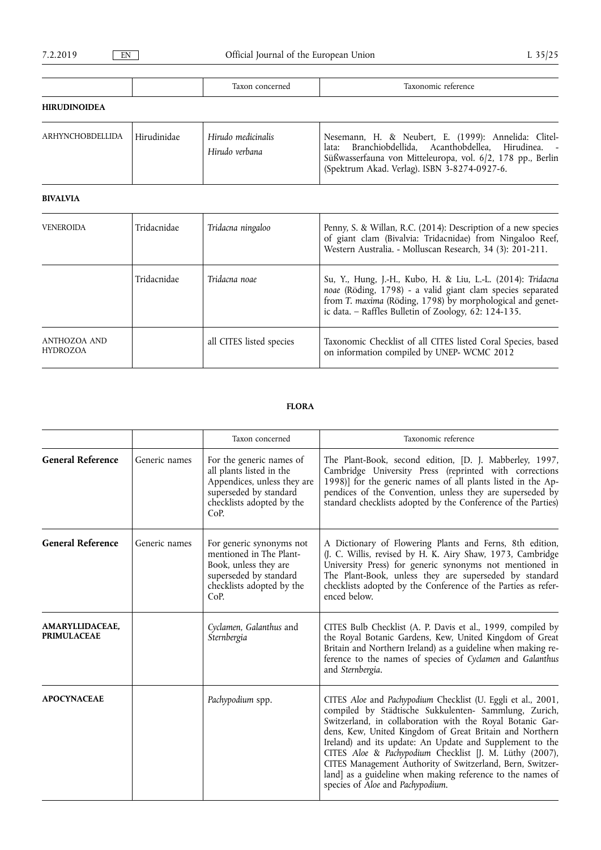|--|

|                      |  | $\sim$<br>$12 \text{v} \alpha$ r<br>concerned<br>ıал<br>. | 25000000000<br>reference<br>⊥u⊿ |
|----------------------|--|-----------------------------------------------------------|---------------------------------|
| <b>HIDHIDINAIDEA</b> |  |                                                           |                                 |

## **HIRUDINOIDEA**

| ARHYNCHOBDELLIDA | Hirudinidae | Hirudo medicinalis<br>Hirudo verbana | Nesemann, H. & Neubert, E. (1999): Annelida: Clitel-<br>lata: Branchiobdellida, Acanthobdellea, Hirudinea. -<br>Süßwasserfauna von Mitteleuropa, vol. 6/2, 178 pp., Berlin<br>Spektrum Akad. Verlag). ISBN 3-8274-0927-6. |
|------------------|-------------|--------------------------------------|---------------------------------------------------------------------------------------------------------------------------------------------------------------------------------------------------------------------------|
|------------------|-------------|--------------------------------------|---------------------------------------------------------------------------------------------------------------------------------------------------------------------------------------------------------------------------|

# **BIVALVIA**

| <b>VENEROIDA</b>                | Tridacnidae | Tridacna ningaloo        | Penny, S. & Willan, R.C. (2014): Description of a new species<br>of giant clam (Bivalvia: Tridacnidae) from Ningaloo Reef,<br>Western Australia. - Molluscan Research, 34 (3): 201-211.                                                           |
|---------------------------------|-------------|--------------------------|---------------------------------------------------------------------------------------------------------------------------------------------------------------------------------------------------------------------------------------------------|
|                                 | Tridacnidae | Tridacna noae            | Su, Y., Hung, J.-H., Kubo, H. & Liu, L.-L. (2014): Tridacna<br>noae (Röding, 1798) - a valid giant clam species separated<br>from T. maxima (Röding, 1798) by morphological and genet-<br>ic data. - Raffles Bulletin of Zoology, $62: 124-135$ . |
| ANTHOZOA AND<br><b>HYDROZOA</b> |             | all CITES listed species | Taxonomic Checklist of all CITES listed Coral Species, based<br>on information compiled by UNEP- WCMC 2012                                                                                                                                        |

# **FLORA**

|                                        |               | Taxon concerned                                                                                                                                    | Taxonomic reference                                                                                                                                                                                                                                                                                                                                                                                                                                                                                                                 |  |
|----------------------------------------|---------------|----------------------------------------------------------------------------------------------------------------------------------------------------|-------------------------------------------------------------------------------------------------------------------------------------------------------------------------------------------------------------------------------------------------------------------------------------------------------------------------------------------------------------------------------------------------------------------------------------------------------------------------------------------------------------------------------------|--|
| <b>General Reference</b>               | Generic names | For the generic names of<br>all plants listed in the<br>Appendices, unless they are<br>superseded by standard<br>checklists adopted by the<br>CoP. | The Plant-Book, second edition, [D. J. Mabberley, 1997,<br>Cambridge University Press (reprinted with corrections<br>1998)] for the generic names of all plants listed in the Ap-<br>pendices of the Convention, unless they are superseded by<br>standard checklists adopted by the Conference of the Parties)                                                                                                                                                                                                                     |  |
| <b>General Reference</b>               | Generic names | For generic synonyms not<br>mentioned in The Plant-<br>Book, unless they are<br>superseded by standard<br>checklists adopted by the<br>CoP.        | A Dictionary of Flowering Plants and Ferns, 8th edition,<br>(J. C. Willis, revised by H. K. Airy Shaw, 1973, Cambridge<br>University Press) for generic synonyms not mentioned in<br>The Plant-Book, unless they are superseded by standard<br>checklists adopted by the Conference of the Parties as refer-<br>enced below.                                                                                                                                                                                                        |  |
| AMARYLLIDACEAE,<br><b>PRIMULACEAE</b>  |               | Cyclamen, Galanthus and<br>Sternbergia                                                                                                             | CITES Bulb Checklist (A. P. Davis et al., 1999, compiled by<br>the Royal Botanic Gardens, Kew, United Kingdom of Great<br>Britain and Northern Ireland) as a guideline when making re-<br>ference to the names of species of Cyclamen and Galanthus<br>and Sternbergia.                                                                                                                                                                                                                                                             |  |
| <b>APOCYNACEAE</b><br>Pachypodium spp. |               |                                                                                                                                                    | CITES Aloe and Pachypodium Checklist (U. Eggli et al., 2001,<br>compiled by Städtische Sukkulenten- Sammlung, Zurich,<br>Switzerland, in collaboration with the Royal Botanic Gar-<br>dens, Kew, United Kingdom of Great Britain and Northern<br>Ireland) and its update: An Update and Supplement to the<br>CITES Aloe & Pachypodium Checklist [J. M. Lüthy (2007),<br>CITES Management Authority of Switzerland, Bern, Switzer-<br>land] as a guideline when making reference to the names of<br>species of Aloe and Pachypodium. |  |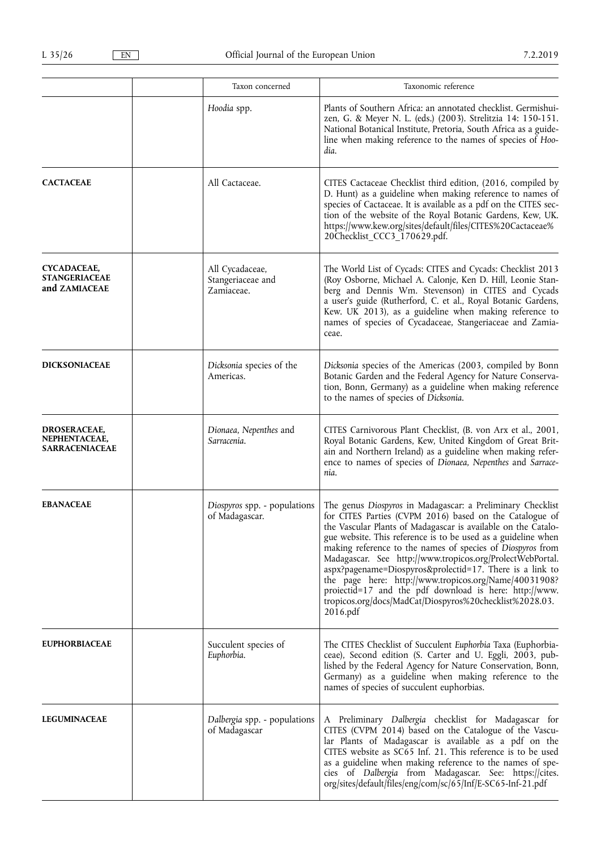|                                                                      | Taxon concerned                                    | Taxonomic reference                                                                                                                                                                                                                                                                                                                                                                                                                                                                                                                                                                                                                      |
|----------------------------------------------------------------------|----------------------------------------------------|------------------------------------------------------------------------------------------------------------------------------------------------------------------------------------------------------------------------------------------------------------------------------------------------------------------------------------------------------------------------------------------------------------------------------------------------------------------------------------------------------------------------------------------------------------------------------------------------------------------------------------------|
|                                                                      | Hoodia spp.                                        | Plants of Southern Africa: an annotated checklist. Germishui-<br>zen, G. & Meyer N. L. (eds.) (2003). Strelitzia 14: 150-151.<br>National Botanical Institute, Pretoria, South Africa as a guide-<br>line when making reference to the names of species of Hoo-<br>dia.                                                                                                                                                                                                                                                                                                                                                                  |
| <b>CACTACEAE</b>                                                     | All Cactaceae.                                     | CITES Cactaceae Checklist third edition, (2016, compiled by<br>D. Hunt) as a guideline when making reference to names of<br>species of Cactaceae. It is available as a pdf on the CITES sec-<br>tion of the website of the Royal Botanic Gardens, Kew, UK.<br>https://www.kew.org/sites/default/files/CITES%20Cactaceae%<br>20Checklist_CCC3_170629.pdf.                                                                                                                                                                                                                                                                                 |
| CYCADACEAE,<br><b>STANGERIACEAE</b><br>and ZAMIACEAE                 | All Cycadaceae,<br>Stangeriaceae and<br>Zamiaceae. | The World List of Cycads: CITES and Cycads: Checklist 2013<br>(Roy Osborne, Michael A. Calonje, Ken D. Hill, Leonie Stan-<br>berg and Dennis Wm. Stevenson) in CITES and Cycads<br>a user's guide (Rutherford, C. et al., Royal Botanic Gardens,<br>Kew. UK 2013), as a guideline when making reference to<br>names of species of Cycadaceae, Stangeriaceae and Zamia-<br>ceae.                                                                                                                                                                                                                                                          |
| <b>DICKSONIACEAE</b>                                                 | Dicksonia species of the<br>Americas.              | Dicksonia species of the Americas (2003, compiled by Bonn<br>Botanic Garden and the Federal Agency for Nature Conserva-<br>tion, Bonn, Germany) as a guideline when making reference<br>to the names of species of Dicksonia.                                                                                                                                                                                                                                                                                                                                                                                                            |
| <b>DROSERACEAE,</b><br>NEPHENTACEAE,<br>SARRACENIACEAE               | Dionaea, Nepenthes and<br>Sarracenia.              | CITES Carnivorous Plant Checklist, (B. von Arx et al., 2001,<br>Royal Botanic Gardens, Kew, United Kingdom of Great Brit-<br>ain and Northern Ireland) as a guideline when making refer-<br>ence to names of species of Dionaea, Nepenthes and Sarrace-<br>nia.                                                                                                                                                                                                                                                                                                                                                                          |
| <b>EBANACEAE</b>                                                     | Diospyros spp. - populations<br>of Madagascar.     | The genus Diospyros in Madagascar: a Preliminary Checklist<br>for CITES Parties (CVPM 2016) based on the Catalogue of<br>the Vascular Plants of Madagascar is available on the Catalo-<br>gue website. This reference is to be used as a guideline when<br>making reference to the names of species of Diospyros from<br>Madagascar. See http://www.tropicos.org/ProlectWebPortal.<br>aspx?pagename=Diospyros&prolectid=17. There is a link to<br>the page here: http://www.tropicos.org/Name/40031908?<br>proiectid=17 and the pdf download is here: http://www.<br>tropicos.org/docs/MadCat/Diospyros%20checklist%2028.03.<br>2016.pdf |
| <b>EUPHORBIACEAE</b>                                                 | Succulent species of<br>Euphorbia.                 | The CITES Checklist of Succulent Euphorbia Taxa (Euphorbia-<br>ceae), Second edition (S. Carter and U. Eggli, 2003, pub-<br>lished by the Federal Agency for Nature Conservation, Bonn,<br>Germany) as a guideline when making reference to the<br>names of species of succulent euphorbias.                                                                                                                                                                                                                                                                                                                                             |
| <b>LEGUMINACEAE</b><br>Dalbergia spp. - populations<br>of Madagascar |                                                    | A Preliminary Dalbergia checklist for Madagascar for<br>CITES (CVPM 2014) based on the Catalogue of the Vascu-<br>lar Plants of Madagascar is available as a pdf on the<br>CITES website as SC65 Inf. 21. This reference is to be used<br>as a guideline when making reference to the names of spe-<br>cies of Dalbergia from Madagascar. See: https://cites.<br>org/sites/default/files/eng/com/sc/65/Inf/E-SC65-Inf-21.pdf                                                                                                                                                                                                             |